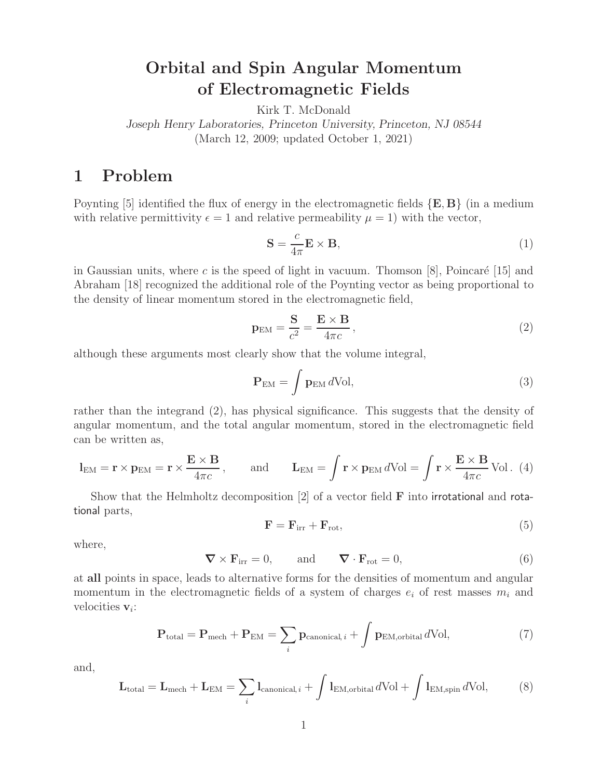# **Orbital and Spin Angular Momentum of Electromagnetic Fields**

Kirk T. McDonald

*Joseph Henry Laboratories, Princeton University, Princeton, NJ 08544* (March 12, 2009; updated October 1, 2021)

## **1 Problem**

Poynting [5] identified the flux of energy in the electromagnetic fields {**E**, **B**} (in a medium with relative permittivity  $\epsilon = 1$  and relative permeability  $\mu = 1$ ) with the vector,

$$
\mathbf{S} = \frac{c}{4\pi} \mathbf{E} \times \mathbf{B},\tag{1}
$$

in Gaussian units, where c is the speed of light in vacuum. Thomson  $[8]$ , Poincaré  $[15]$  and Abraham [18] recognized the additional role of the Poynting vector as being proportional to the density of linear momentum stored in the electromagnetic field,

$$
\mathbf{p}_{\rm EM} = \frac{\mathbf{S}}{c^2} = \frac{\mathbf{E} \times \mathbf{B}}{4\pi c},\tag{2}
$$

although these arguments most clearly show that the volume integral,

$$
\mathbf{P}_{\rm EM} = \int \mathbf{p}_{\rm EM} \, d\mathrm{Vol},\tag{3}
$$

rather than the integrand (2), has physical significance. This suggests that the density of angular momentum, and the total angular momentum, stored in the electromagnetic field can be written as,

$$
\mathbf{l}_{\text{EM}} = \mathbf{r} \times \mathbf{p}_{\text{EM}} = \mathbf{r} \times \frac{\mathbf{E} \times \mathbf{B}}{4\pi c}, \quad \text{and} \quad \mathbf{L}_{\text{EM}} = \int \mathbf{r} \times \mathbf{p}_{\text{EM}} d\text{Vol} = \int \mathbf{r} \times \frac{\mathbf{E} \times \mathbf{B}}{4\pi c} \text{Vol}. (4)
$$

Show that the Helmholtz decomposition [2] of a vector field **F** into irrotational and rotational parts,

$$
\mathbf{F} = \mathbf{F}_{irr} + \mathbf{F}_{rot},\tag{5}
$$

where,

$$
\nabla \times \mathbf{F}_{irr} = 0, \quad \text{and} \quad \nabla \cdot \mathbf{F}_{rot} = 0,
$$
\n(6)

at **all** points in space, leads to alternative forms for the densities of momentum and angular momentum in the electromagnetic fields of a system of charges  $e_i$  of rest masses  $m_i$  and velocities **v**i:

$$
\mathbf{P}_{\text{total}} = \mathbf{P}_{\text{mech}} + \mathbf{P}_{\text{EM}} = \sum_{i} \mathbf{p}_{\text{canonical}, i} + \int \mathbf{p}_{\text{EM}, \text{orbital}} \, d\text{Vol}, \tag{7}
$$

and,

$$
\mathbf{L}_{\text{total}} = \mathbf{L}_{\text{mech}} + \mathbf{L}_{\text{EM}} = \sum_{i} \mathbf{l}_{\text{canonical}, i} + \int \mathbf{l}_{\text{EM}, \text{orbital}} d\text{Vol} + \int \mathbf{l}_{\text{EM}, \text{spin}} d\text{Vol},\tag{8}
$$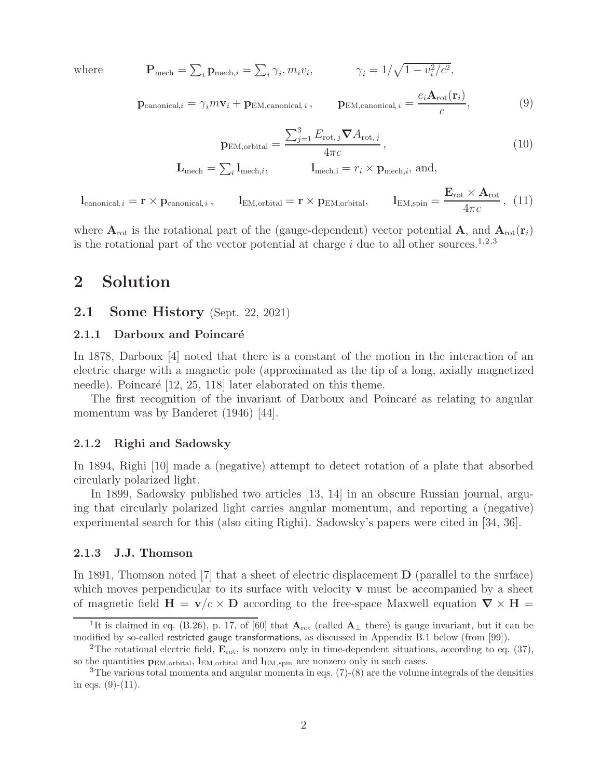$where$ 

$$
\mathbf{P}_{\text{mech}} = \sum_{i} \mathbf{p}_{\text{mech},i} = \sum_{i} \gamma_i, m_i v_i, \qquad \gamma_i = 1/\sqrt{1 - v_i^2/c^2},
$$

$$
\mathbf{p}_{\text{EM,canonical},i} = \frac{e_i \mathbf{A}_{\text{rot}}(\mathbf{r}_i)}{c},\tag{9}
$$

 $\mathbf{p}_{\text{canonical},i} = \gamma_i m \mathbf{v}_i + \mathbf{p}_{\text{EM},\text{canonical},i}$ 

$$
\mathbf{p}_{\text{EM},\text{orbital}} = \frac{\sum_{j=1}^{3} E_{\text{rot},j} \nabla A_{\text{rot},j}}{4\pi c},
$$
\n
$$
\mathbf{L}_{\text{mech}} = \sum_{i} \mathbf{l}_{\text{mech},i}, \qquad \mathbf{l}_{\text{mech},i} = r_i \times \mathbf{p}_{\text{mech},i}, \text{ and,}
$$
\n(10)

 $\mathbf{l}_{\text{canonical}, i} = \mathbf{r} \times \mathbf{p}_{\text{canonical}, i}$ ,  $\mathbf{l}_{\text{EM}, \text{orbital}} = \mathbf{r} \times \mathbf{p}_{\text{EM}, \text{orbital}}$ ,  $1_{\text{EM,spin}} = \frac{\mathbf{E}_{\text{rot}} \times \mathbf{A}_{\text{rot}}}{4\pi c},$  (11)

where  $A_{\text{rot}}$  is the rotational part of the (gauge-dependent) vector potential A, and  $A_{\text{rot}}(\mathbf{r}_i)$ is the rotational part of the vector potential at charge  $i$  due to all other sources.<sup>1,2,3</sup>

## **2 Solution**

### **2.1 Some History** (Sept. 22, 2021)

#### **2.1.1 Darboux and Poincaré**

In 1878, Darboux [4] noted that there is a constant of the motion in the interaction of an electric charge with a magnetic pole (approximated as the tip of a long, axially magnetized needle). Poincaré [12, 25, 118] later elaborated on this theme.

The first recognition of the invariant of Darboux and Poincaré as relating to angular momentum was by Banderet (1946) [44].

#### **2.1.2 Righi and Sadowsky**

In 1894, Righi [10] made a (negative) attempt to detect rotation of a plate that absorbed circularly polarized light.

In 1899, Sadowsky published two articles [13, 14] in an obscure Russian journal, arguing that circularly polarized light carries angular momentum, and reporting a (negative) experimental search for this (also citing Righi). Sadowsky's papers were cited in [34, 36].

#### **2.1.3 J.J. Thomson**

In 1891, Thomson noted [7] that a sheet of electric displacement **D** (parallel to the surface) which moves perpendicular to its surface with velocity **v** must be accompanied by a sheet of magnetic field  $H = v/c \times D$  according to the free-space Maxwell equation  $\nabla \times H =$ 

<sup>&</sup>lt;sup>1</sup>It is claimed in eq. (B.26), p. 17, of [60] that  $\mathbf{A}_{\text{rot}}$  (called  $\mathbf{A}_{\perp}$  there) is gauge invariant, but it can be modified by so-called restricted gauge transformations, as discussed in Appendix B.1 below (from [99]).

<sup>&</sup>lt;sup>2</sup>The rotational electric field,  $\mathbf{E}_{\text{rot}}$ , is nonzero only in time-dependent situations, according to eq. (37), so the quantities  $p_{\text{EM-orbital}}$ ,  $l_{\text{EM-orbital}}$  and  $l_{\text{EM,spin}}$  are nonzero only in such cases.

<sup>&</sup>lt;sup>3</sup>The various total momenta and angular momenta in eqs.  $(7)-(8)$  are the volume integrals of the densities in eqs.  $(9)-(11)$ .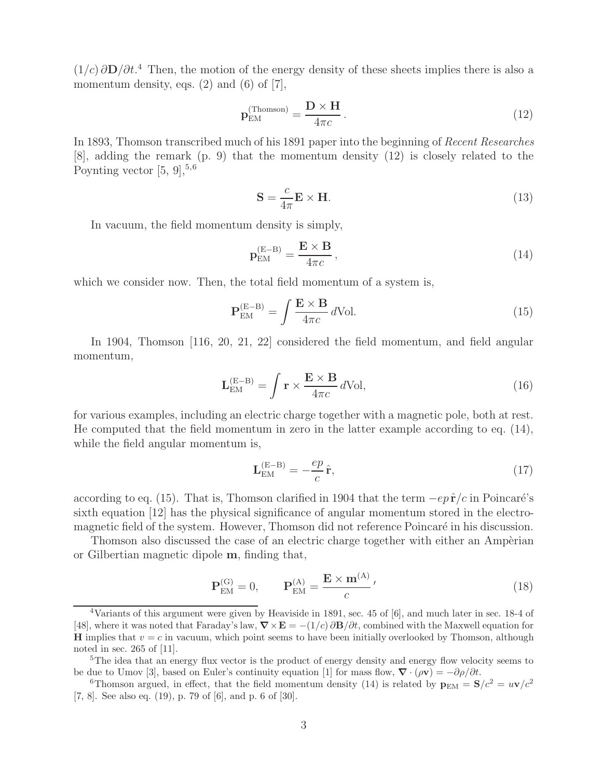$(1/c)\partial D/\partial t$ <sup>4</sup>. Then, the motion of the energy density of these sheets implies there is also a momentum density, eqs.  $(2)$  and  $(6)$  of  $[7]$ ,

$$
\mathbf{p}_{\text{EM}}^{(\text{Thomson})} = \frac{\mathbf{D} \times \mathbf{H}}{4\pi c}.
$$
 (12)

In 1893, Thomson transcribed much of his 1891 paper into the beginning of *Recent Researches* [8], adding the remark (p. 9) that the momentum density (12) is closely related to the Poynting vector  $[5, 9]$ ,  $5, 6$ 

$$
\mathbf{S} = \frac{c}{4\pi} \mathbf{E} \times \mathbf{H}.
$$
 (13)

In vacuum, the field momentum density is simply,

$$
\mathbf{p}_{\text{EM}}^{(\text{E}-\text{B})} = \frac{\mathbf{E} \times \mathbf{B}}{4\pi c},\tag{14}
$$

which we consider now. Then, the total field momentum of a system is,

$$
\mathbf{P}_{\text{EM}}^{(\text{E}-\text{B})} = \int \frac{\mathbf{E} \times \mathbf{B}}{4\pi c} d\text{Vol}.
$$
 (15)

In 1904, Thomson [116, 20, 21, 22] considered the field momentum, and field angular momentum,

$$
\mathbf{L}_{\rm EM}^{\rm (E-B)} = \int \mathbf{r} \times \frac{\mathbf{E} \times \mathbf{B}}{4\pi c} d\text{Vol},\tag{16}
$$

for various examples, including an electric charge together with a magnetic pole, both at rest. He computed that the field momentum in zero in the latter example according to eq. (14), while the field angular momentum is,

$$
\mathbf{L}_{\text{EM}}^{(\text{E}-\text{B})} = -\frac{ep}{c}\,\hat{\mathbf{r}},\tag{17}
$$

according to eq. (15). That is, Thomson clarified in 1904 that the term  $-e^p \hat{\mathbf{r}}/c$  in Poincaré's sixth equation [12] has the physical significance of angular momentum stored in the electromagnetic field of the system. However, Thomson did not reference Poincaré in his discussion.

Thomson also discussed the case of an electric charge together with either an Ampèrian or Gilbertian magnetic dipole **m**, finding that,

$$
\mathbf{P}_{\text{EM}}^{(G)} = 0, \qquad \mathbf{P}_{\text{EM}}^{(A)} = \frac{\mathbf{E} \times \mathbf{m}^{(A)}}{c}, \tag{18}
$$

<sup>4</sup>Variants of this argument were given by Heaviside in 1891, sec. 45 of [6], and much later in sec. 18-4 of [48], where it was noted that Faraday's law,  $\nabla \times \mathbf{E} = -(1/c) \partial \mathbf{B}/\partial t$ , combined with the Maxwell equation for **H** implies that  $v = c$  in vacuum, which point seems to have been initially overlooked by Thomson, although noted in sec. 265 of [11].

<sup>&</sup>lt;sup>5</sup>The idea that an energy flux vector is the product of energy density and energy flow velocity seems to be due to Umov [3], based on Euler's continuity equation [1] for mass flow,  $\nabla \cdot (\rho \mathbf{v}) = -\partial \rho / \partial t$ .<br><sup>6</sup>Thomson argued, in effect, that the field momentum density (14) is related by  $\mathbf{p}_{EM} = \mathbf{S}/c^2 = u\mathbf{v}/c^2$ 

<sup>[7, 8].</sup> See also eq. (19), p. 79 of [6], and p. 6 of [30].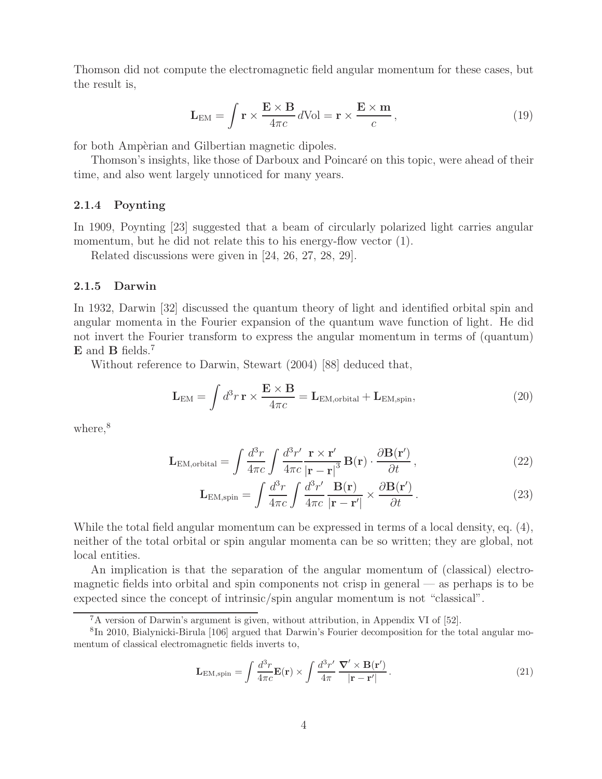Thomson did not compute the electromagnetic field angular momentum for these cases, but the result is,

$$
\mathbf{L}_{\text{EM}} = \int \mathbf{r} \times \frac{\mathbf{E} \times \mathbf{B}}{4\pi c} d\text{Vol} = \mathbf{r} \times \frac{\mathbf{E} \times \mathbf{m}}{c},\tag{19}
$$

for both Ampèrian and Gilbertian magnetic dipoles.

Thomson's insights, like those of Darboux and Poincaré on this topic, were ahead of their time, and also went largely unnoticed for many years.

#### **2.1.4 Poynting**

In 1909, Poynting [23] suggested that a beam of circularly polarized light carries angular momentum, but he did not relate this to his energy-flow vector  $(1)$ .

Related discussions were given in [24, 26, 27, 28, 29].

#### **2.1.5 Darwin**

In 1932, Darwin [32] discussed the quantum theory of light and identified orbital spin and angular momenta in the Fourier expansion of the quantum wave function of light. He did not invert the Fourier transform to express the angular momentum in terms of (quantum) **E** and **B** fields.<sup>7</sup>

Without reference to Darwin, Stewart (2004) [88] deduced that,

$$
\mathbf{L}_{\text{EM}} = \int d^3 r \, \mathbf{r} \times \frac{\mathbf{E} \times \mathbf{B}}{4\pi c} = \mathbf{L}_{\text{EM}, \text{orbital}} + \mathbf{L}_{\text{EM}, \text{spin}},\tag{20}
$$

where.<sup>8</sup>

$$
\mathbf{L}_{\text{EM},\text{orbital}} = \int \frac{d^3r}{4\pi c} \int \frac{d^3r'}{4\pi c} \frac{\mathbf{r} \times \mathbf{r'}}{|\mathbf{r} - \mathbf{r}|^3} \mathbf{B}(\mathbf{r}) \cdot \frac{\partial \mathbf{B}(\mathbf{r'})}{\partial t},\tag{22}
$$

$$
\mathbf{L}_{\text{EM,spin}} = \int \frac{d^3r}{4\pi c} \int \frac{d^3r'}{4\pi c} \frac{\mathbf{B}(\mathbf{r})}{|\mathbf{r} - \mathbf{r'}|} \times \frac{\partial \mathbf{B}(\mathbf{r'})}{\partial t} \,. \tag{23}
$$

While the total field angular momentum can be expressed in terms of a local density, eq. (4), neither of the total orbital or spin angular momenta can be so written; they are global, not local entities.

An implication is that the separation of the angular momentum of (classical) electromagnetic fields into orbital and spin components not crisp in general — as perhaps is to be expected since the concept of intrinsic/spin angular momentum is not "classical".

$$
\mathbf{L}_{\text{EM,spin}} = \int \frac{d^3 r}{4\pi c} \mathbf{E}(\mathbf{r}) \times \int \frac{d^3 r'}{4\pi} \frac{\nabla' \times \mathbf{B}(\mathbf{r'})}{|\mathbf{r} - \mathbf{r'}|} \,. \tag{21}
$$

<sup>7</sup>A version of Darwin's argument is given, without attribution, in Appendix VI of [52].

<sup>8</sup>In 2010, Bialynicki-Birula [106] argued that Darwin's Fourier decomposition for the total angular momentum of classical electromagnetic fields inverts to,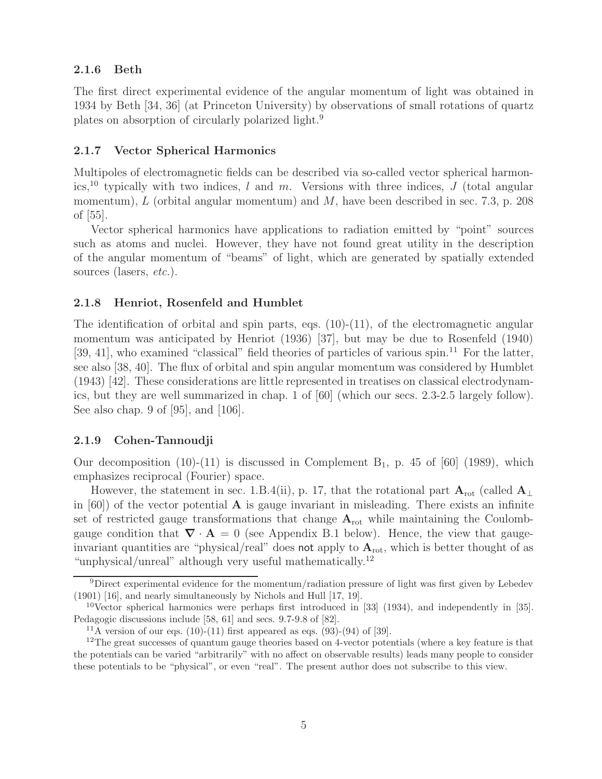#### **2.1.6 Beth**

The first direct experimental evidence of the angular momentum of light was obtained in 1934 by Beth [34, 36] (at Princeton University) by observations of small rotations of quartz plates on absorption of circularly polarized light.<sup>9</sup>

#### **2.1.7 Vector Spherical Harmonics**

Multipoles of electromagnetic fields can be described via so-called vector spherical harmonics,<sup>10</sup> typically with two indices, l and m. Versions with three indices, J (total angular momentum),  $L$  (orbital angular momentum) and  $M$ , have been described in sec. 7.3, p. 208 of [55].

Vector spherical harmonics have applications to radiation emitted by "point" sources such as atoms and nuclei. However, they have not found great utility in the description of the angular momentum of "beams" of light, which are generated by spatially extended sources (lasers, *etc.*).

#### **2.1.8 Henriot, Rosenfeld and Humblet**

The identification of orbital and spin parts, eqs.  $(10)-(11)$ , of the electromagnetic angular momentum was anticipated by Henriot (1936) [37], but may be due to Rosenfeld (1940) [39, 41], who examined "classical" field theories of particles of various spin.<sup>11</sup> For the latter, see also [38, 40]. The flux of orbital and spin angular momentum was considered by Humblet (1943) [42]. These considerations are little represented in treatises on classical electrodynamics, but they are well summarized in chap. 1 of [60] (which our secs. 2.3-2.5 largely follow). See also chap. 9 of [95], and [106].

#### **2.1.9 Cohen-Tannoudji**

Our decomposition (10)-(11) is discussed in Complement  $B_1$ , p. 45 of [60] (1989), which emphasizes reciprocal (Fourier) space.

However, the statement in sec. 1.B.4(ii), p. 17, that the rotational part  $\mathbf{A}_{\text{rot}}$  (called  $\mathbf{A}_{\perp}$ in  $[60]$  of the vector potential **A** is gauge invariant in misleading. There exists an infinite set of restricted gauge transformations that change  $A_{\text{rot}}$  while maintaining the Coulombgauge condition that  $\nabla \cdot \mathbf{A} = 0$  (see Appendix B.1 below). Hence, the view that gaugeinvariant quantities are "physical/real" does not apply to  $A_{\text{rot}}$ , which is better thought of as "unphysical/unreal" although very useful mathematically.<sup>12</sup>

<sup>&</sup>lt;sup>9</sup>Direct experimental evidence for the momentum/radiation pressure of light was first given by Lebedev (1901) [16], and nearly simultaneously by Nichols and Hull [17, 19].

<sup>&</sup>lt;sup>10</sup>Vector spherical harmonics were perhaps first introduced in [33] (1934), and independently in [35]. Pedagogic discussions include [58, 61] and secs. 9.7-9.8 of [82].

<sup>&</sup>lt;sup>11</sup>A version of our eqs. (10)-(11) first appeared as eqs. (93)-(94) of [39].

<sup>&</sup>lt;sup>12</sup>The great successes of quantum gauge theories based on 4-vector potentials (where a key feature is that the potentials can be varied "arbitrarily" with no affect on observable results) leads many people to consider these potentials to be "physical", or even "real". The present author does not subscribe to this view.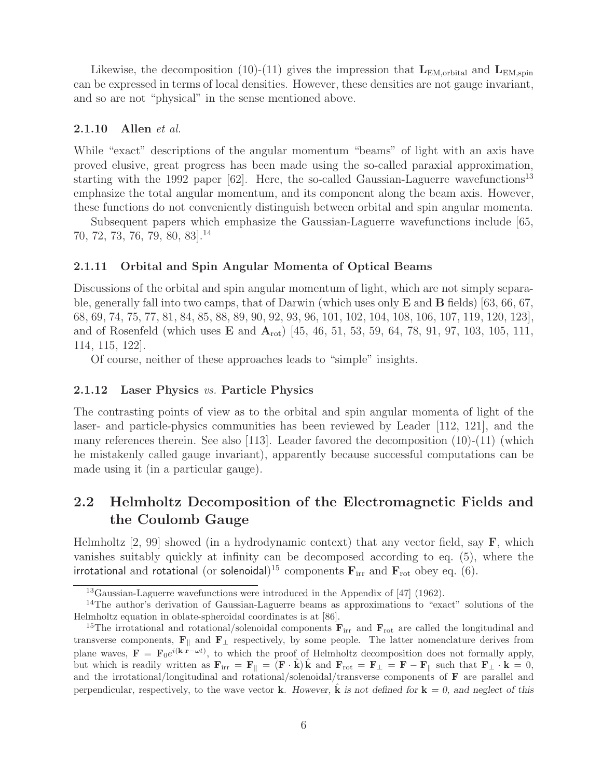Likewise, the decomposition (10)-(11) gives the impression that  $L_{EM,orbital}$  and  $L_{EM,spin}$ can be expressed in terms of local densities. However, these densities are not gauge invariant, and so are not "physical" in the sense mentioned above.

#### **2.1.10 Allen** *et al.*

While "exact" descriptions of the angular momentum "beams" of light with an axis have proved elusive, great progress has been made using the so-called paraxial approximation, starting with the 1992 paper  $[62]$ . Here, the so-called Gaussian-Laguerre wavefunctions<sup>13</sup> emphasize the total angular momentum, and its component along the beam axis. However, these functions do not conveniently distinguish between orbital and spin angular momenta.

Subsequent papers which emphasize the Gaussian-Laguerre wavefunctions include [65, 70, 72, 73, 76, 79, 80, 83].<sup>14</sup>

#### **2.1.11 Orbital and Spin Angular Momenta of Optical Beams**

Discussions of the orbital and spin angular momentum of light, which are not simply separable, generally fall into two camps, that of Darwin (which uses only **E** and **B** fields) [63, 66, 67, 68, 69, 74, 75, 77, 81, 84, 85, 88, 89, 90, 92, 93, 96, 101, 102, 104, 108, 106, 107, 119, 120, 123], and of Rosenfeld (which uses **E** and **A**rot) [45, 46, 51, 53, 59, 64, 78, 91, 97, 103, 105, 111, 114, 115, 122].

Of course, neither of these approaches leads to "simple" insights.

#### **2.1.12 Laser Physics** *vs.* **Particle Physics**

The contrasting points of view as to the orbital and spin angular momenta of light of the laser- and particle-physics communities has been reviewed by Leader [112, 121], and the many references therein. See also [113]. Leader favored the decomposition (10)-(11) (which he mistakenly called gauge invariant), apparently because successful computations can be made using it (in a particular gauge).

### **2.2 Helmholtz Decomposition of the Electromagnetic Fields and the Coulomb Gauge**

Helmholtz [2, 99] showed (in a hydrodynamic context) that any vector field, say **F**, which vanishes suitably quickly at infinity can be decomposed according to eq. (5), where the irrotational and rotational (or solenoidal)<sup>15</sup> components  $\mathbf{F}_{irr}$  and  $\mathbf{F}_{rot}$  obey eq. (6).

<sup>13</sup>Gaussian-Laguerre wavefunctions were introduced in the Appendix of [47] (1962).

<sup>&</sup>lt;sup>14</sup>The author's derivation of Gaussian-Laguerre beams as approximations to "exact" solutions of the Helmholtz equation in oblate-spheroidal coordinates is at [86].

<sup>&</sup>lt;sup>15</sup>The irrotational and rotational/solenoidal components  $\mathbf{F}_{irr}$  and  $\mathbf{F}_{rot}$  are called the longitudinal and transverse components,  $\mathbf{F}_{\parallel}$  and  $\mathbf{F}_{\perp}$  respectively, by some people. The latter nomenclature derives from plane waves,  $\mathbf{F} = \mathbf{F}_0 e^{i(\mathbf{k} \cdot \mathbf{r} - \omega t)}$ , to which the proof of Helmholtz decomposition does not formally apply, but which is readily written as  $\mathbf{F}_{irr} = \mathbf{F}_{\parallel} = (\mathbf{F} \cdot \hat{\mathbf{k}}) \hat{\mathbf{k}}$  and  $\mathbf{F}_{rot} = \mathbf{F}_{\perp} = \mathbf{F} - \mathbf{F}_{\parallel}$  such that  $\mathbf{F}_{\perp} \cdot \mathbf{k} = 0$ , and the irrotational/longitudinal and rotational/solenoidal/transverse components of **F** are parallel and perpendicular, respectively, to the wave vector **k**. However, **k** is not defined for  $\mathbf{k} = 0$ , and neglect of this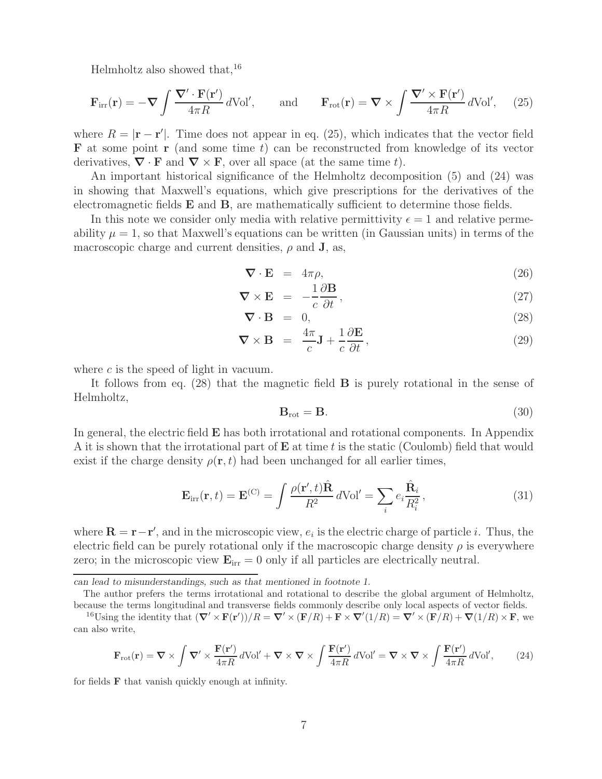Helmholtz also showed that,  $16$ 

$$
\mathbf{F}_{irr}(\mathbf{r}) = -\nabla \int \frac{\nabla' \cdot \mathbf{F}(\mathbf{r}')}{4\pi R} d\text{Vol}', \quad \text{and} \quad \mathbf{F}_{rot}(\mathbf{r}) = \nabla \times \int \frac{\nabla' \times \mathbf{F}(\mathbf{r}')}{4\pi R} d\text{Vol}', \quad (25)
$$

where  $R = |\mathbf{r} - \mathbf{r}'|$ . Time does not appear in eq. (25), which indicates that the vector field **F** at some point **r** (and some time t) can be reconstructed from knowledge of its vector derivatives,  $\nabla \cdot \mathbf{F}$  and  $\nabla \times \mathbf{F}$ , over all space (at the same time t).

An important historical significance of the Helmholtz decomposition (5) and (24) was in showing that Maxwell's equations, which give prescriptions for the derivatives of the electromagnetic fields **E** and **B**, are mathematically sufficient to determine those fields.

In this note we consider only media with relative permittivity  $\epsilon = 1$  and relative permeability  $\mu = 1$ , so that Maxwell's equations can be written (in Gaussian units) in terms of the macroscopic charge and current densities,  $\rho$  and **J**, as,

$$
\nabla \cdot \mathbf{E} = 4\pi \rho, \tag{26}
$$

$$
\nabla \times \mathbf{E} = -\frac{1}{c} \frac{\partial \mathbf{B}}{\partial t}, \qquad (27)
$$

$$
\nabla \cdot \mathbf{B} = 0, \tag{28}
$$

$$
\nabla \times \mathbf{B} = \frac{4\pi}{c} \mathbf{J} + \frac{1}{c} \frac{\partial \mathbf{E}}{\partial t},
$$
 (29)

where  $c$  is the speed of light in vacuum.

It follows from eq. (28) that the magnetic field **B** is purely rotational in the sense of Helmholtz,

$$
\mathbf{B}_{\rm rot} = \mathbf{B}.\tag{30}
$$

In general, the electric field **E** has both irrotational and rotational components. In Appendix A it is shown that the irrotational part of **E** at time t is the static (Coulomb) field that would exist if the charge density  $\rho(\mathbf{r}, t)$  had been unchanged for all earlier times,

$$
\mathbf{E}_{irr}(\mathbf{r},t) = \mathbf{E}^{(C)} = \int \frac{\rho(\mathbf{r}',t)\hat{\mathbf{R}}}{R^2} d\text{Vol}' = \sum_{i} e_i \frac{\hat{\mathbf{R}}_i}{R_i^2},\tag{31}
$$

where  $\mathbf{R} = \mathbf{r} - \mathbf{r}'$ , and in the microscopic view,  $e_i$  is the electric charge of particle *i*. Thus, the electric field can be purely rotational only if the macroscopic charge density  $\rho$  is everywhere zero; in the microscopic view  $\mathbf{E}_{irr} = 0$  only if all particles are electrically neutral.

*can lead to misunderstandings, such as that mentioned in footnote 1.*

The author prefers the terms irrotational and rotational to describe the global argument of Helmholtz, because the terms longitudinal and transverse fields commonly describe only local aspects of vector fields.

<sup>16</sup>Using the identity that  $(\nabla' \times \mathbf{F}(\mathbf{r}'))/R = \nabla' \times (\mathbf{F}/R) + \mathbf{F} \times \nabla'(1/R) = \nabla' \times (\mathbf{F}/R) + \nabla(1/R) \times \mathbf{F}$ , we can also write,

$$
\mathbf{F}_{\rm rot}(\mathbf{r}) = \nabla \times \int \nabla' \times \frac{\mathbf{F}(\mathbf{r}')}{4\pi R} d\text{Vol}' + \nabla \times \nabla \times \int \frac{\mathbf{F}(\mathbf{r}')}{4\pi R} d\text{Vol}' = \nabla \times \nabla \times \int \frac{\mathbf{F}(\mathbf{r}')}{4\pi R} d\text{Vol}',\tag{24}
$$

for fields **F** that vanish quickly enough at infinity.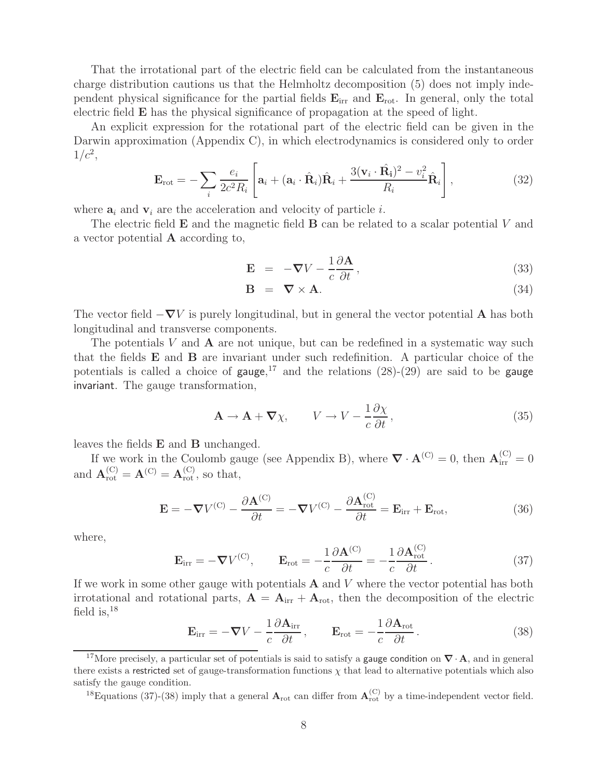That the irrotational part of the electric field can be calculated from the instantaneous charge distribution cautions us that the Helmholtz decomposition (5) does not imply independent physical significance for the partial fields **E**irr and **E**rot. In general, only the total electric field **E** has the physical significance of propagation at the speed of light.

An explicit expression for the rotational part of the electric field can be given in the Darwin approximation (Appendix C), in which electrodynamics is considered only to order  $1/c^2$ ,

$$
\mathbf{E}_{\rm rot} = -\sum_{i} \frac{e_i}{2c^2 R_i} \left[ \mathbf{a}_i + (\mathbf{a}_i \cdot \hat{\mathbf{R}}_i) \hat{\mathbf{R}}_i + \frac{3(\mathbf{v}_i \cdot \hat{\mathbf{R}}_i)^2 - v_i^2}{R_i} \hat{\mathbf{R}}_i \right],\tag{32}
$$

where  $a_i$  and  $v_i$  are the acceleration and velocity of particle i.

The electric field **E** and the magnetic field **B** can be related to a scalar potential V and a vector potential **A** according to,

$$
\mathbf{E} = -\nabla V - \frac{1}{c} \frac{\partial \mathbf{A}}{\partial t},
$$
\n(33)

$$
\mathbf{B} = \nabla \times \mathbf{A}.\tag{34}
$$

The vector field  $-\nabla V$  is purely longitudinal, but in general the vector potential **A** has both longitudinal and transverse components.

The potentials V and **A** are not unique, but can be redefined in a systematic way such that the fields **E** and **B** are invariant under such redefinition. A particular choice of the potentials is called a choice of gauge,<sup>17</sup> and the relations  $(28)-(29)$  are said to be gauge invariant. The gauge transformation,

$$
\mathbf{A} \to \mathbf{A} + \nabla \chi, \qquad V \to V - \frac{1}{c} \frac{\partial \chi}{\partial t}, \tag{35}
$$

leaves the fields **E** and **B** unchanged.

If we work in the Coulomb gauge (see Appendix B), where  $\nabla \cdot \mathbf{A}^{(C)} = 0$ , then  $\mathbf{A}_{irr}^{(C)} = 0$ and  $\mathbf{A}_{\text{rot}}^{(C)} = \mathbf{A}_{\text{rot}}^{(C)}$ , so that,

$$
\mathbf{E} = -\nabla V^{(C)} - \frac{\partial \mathbf{A}^{(C)}}{\partial t} = -\nabla V^{(C)} - \frac{\partial \mathbf{A}_{\text{rot}}^{(C)}}{\partial t} = \mathbf{E}_{\text{irr}} + \mathbf{E}_{\text{rot}},
$$
(36)

where,

$$
\mathbf{E}_{irr} = -\nabla V^{(C)}, \qquad \mathbf{E}_{rot} = -\frac{1}{c} \frac{\partial \mathbf{A}^{(C)}}{\partial t} = -\frac{1}{c} \frac{\partial \mathbf{A}_{rot}^{(C)}}{\partial t}.
$$
 (37)

If we work in some other gauge with potentials **A** and V where the vector potential has both irrotational and rotational parts,  $\mathbf{A} = \mathbf{A}_{irr} + \mathbf{A}_{rot}$ , then the decomposition of the electric field is,  $^{18}$ 

$$
\mathbf{E}_{\text{irr}} = -\nabla V - \frac{1}{c} \frac{\partial \mathbf{A}_{\text{irr}}}{\partial t}, \qquad \mathbf{E}_{\text{rot}} = -\frac{1}{c} \frac{\partial \mathbf{A}_{\text{rot}}}{\partial t}.
$$
 (38)

<sup>18</sup>Equations (37)-(38) imply that a general  $\mathbf{A}_{\text{rot}}$  can differ from  $\mathbf{A}_{\text{rot}}^{(C)}$  by a time-independent vector field.

<sup>17</sup>More precisely, a particular set of potentials is said to satisfy a gauge condition on *∇*· **A**, and in general there exists a restricted set of gauge-transformation functions  $\chi$  that lead to alternative potentials which also satisfy the gauge condition.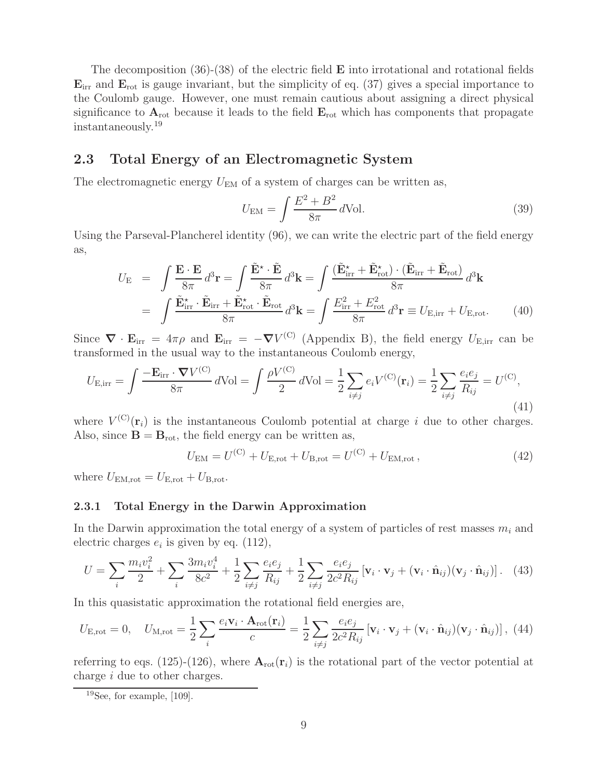The decomposition (36)-(38) of the electric field **E** into irrotational and rotational fields **E**irr and **E**rot is gauge invariant, but the simplicity of eq. (37) gives a special importance to the Coulomb gauge. However, one must remain cautious about assigning a direct physical significance to  $A_{\text{rot}}$  because it leads to the field  $E_{\text{rot}}$  which has components that propagate instantaneously.<sup>19</sup>

### **2.3 Total Energy of an Electromagnetic System**

The electromagnetic energy  $U_{EM}$  of a system of charges can be written as,

$$
U_{\rm EM} = \int \frac{E^2 + B^2}{8\pi} d\text{Vol}.\tag{39}
$$

Using the Parseval-Plancherel identity (96), we can write the electric part of the field energy as,

$$
U_{\rm E} = \int \frac{\mathbf{E} \cdot \mathbf{E}}{8\pi} d^3 \mathbf{r} = \int \frac{\tilde{\mathbf{E}}^* \cdot \tilde{\mathbf{E}}}{8\pi} d^3 \mathbf{k} = \int \frac{(\tilde{\mathbf{E}}_{\rm irr}^* + \tilde{\mathbf{E}}_{\rm rot}^*) \cdot (\tilde{\mathbf{E}}_{\rm irr} + \tilde{\mathbf{E}}_{\rm rot})}{8\pi} d^3 \mathbf{k}
$$
  
= 
$$
\int \frac{\tilde{\mathbf{E}}_{\rm irr}^* \cdot \tilde{\mathbf{E}}_{\rm irr} + \tilde{\mathbf{E}}_{\rm rot}^* \cdot \tilde{\mathbf{E}}_{\rm rot}}{8\pi} d^3 \mathbf{k} = \int \frac{E_{\rm irr}^2 + E_{\rm rot}^2}{8\pi} d^3 \mathbf{r} \equiv U_{\rm E, irr} + U_{\rm E, rot}.
$$
 (40)

Since  $\nabla \cdot \mathbf{E}_{irr} = 4\pi \rho$  and  $\mathbf{E}_{irr} = -\nabla V^{(C)}$  (Appendix B), the field energy  $U_{\text{E},irr}$  can be transformed in the usual way to the instantaneous Coulomb energy,

$$
U_{\text{E,irr}} = \int \frac{-\mathbf{E}_{\text{irr}} \cdot \nabla V^{(\text{C})}}{8\pi} d\text{Vol} = \int \frac{\rho V^{(\text{C})}}{2} d\text{Vol} = \frac{1}{2} \sum_{i \neq j} e_i V^{(\text{C})}(\mathbf{r}_i) = \frac{1}{2} \sum_{i \neq j} \frac{e_i e_j}{R_{ij}} = U^{(\text{C})},\tag{41}
$$

where  $V^{(C)}(\mathbf{r}_i)$  is the instantaneous Coulomb potential at charge i due to other charges. Also, since  $\mathbf{B} = \mathbf{B}_{\text{rot}}$ , the field energy can be written as,

$$
U_{\rm EM} = U^{(\rm C)} + U_{\rm E, rot} + U_{\rm B, rot} = U^{(\rm C)} + U_{\rm EM, rot},\tag{42}
$$

where  $U_{\text{EM,rot}} = U_{\text{E,rot}} + U_{\text{B,rot}}$ .

#### **2.3.1 Total Energy in the Darwin Approximation**

In the Darwin approximation the total energy of a system of particles of rest masses  $m_i$  and electric charges  $e_i$  is given by eq. (112),

$$
U = \sum_{i} \frac{m_i v_i^2}{2} + \sum_{i} \frac{3m_i v_i^4}{8c^2} + \frac{1}{2} \sum_{i \neq j} \frac{e_i e_j}{R_{ij}} + \frac{1}{2} \sum_{i \neq j} \frac{e_i e_j}{2c^2 R_{ij}} \left[ \mathbf{v}_i \cdot \mathbf{v}_j + (\mathbf{v}_i \cdot \hat{\mathbf{n}}_{ij}) (\mathbf{v}_j \cdot \hat{\mathbf{n}}_{ij}) \right]. \tag{43}
$$

In this quasistatic approximation the rotational field energies are,

$$
U_{\text{E,rot}} = 0, \quad U_{\text{M,rot}} = \frac{1}{2} \sum_{i} \frac{e_i \mathbf{v}_i \cdot \mathbf{A}_{\text{rot}}(\mathbf{r}_i)}{c} = \frac{1}{2} \sum_{i \neq j} \frac{e_i e_j}{2c^2 R_{ij}} \left[ \mathbf{v}_i \cdot \mathbf{v}_j + (\mathbf{v}_i \cdot \hat{\mathbf{n}}_{ij})(\mathbf{v}_j \cdot \hat{\mathbf{n}}_{ij}) \right], \tag{44}
$$

referring to eqs. (125)-(126), where  $A_{\text{rot}}(\mathbf{r}_i)$  is the rotational part of the vector potential at charge i due to other charges.

 $19$ See, for example, [109].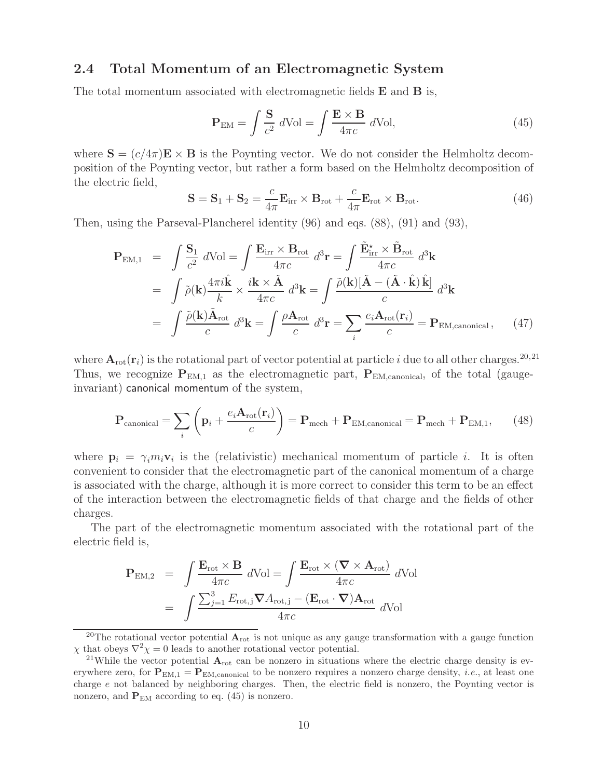### **2.4 Total Momentum of an Electromagnetic System**

The total momentum associated with electromagnetic fields **E** and **B** is,

$$
\mathbf{P}_{\text{EM}} = \int \frac{\mathbf{S}}{c^2} \, d\text{Vol} = \int \frac{\mathbf{E} \times \mathbf{B}}{4\pi c} \, d\text{Vol},\tag{45}
$$

where  $\mathbf{S} = (c/4\pi)\mathbf{E} \times \mathbf{B}$  is the Poynting vector. We do not consider the Helmholtz decomposition of the Poynting vector, but rather a form based on the Helmholtz decomposition of the electric field, c

$$
\mathbf{S} = \mathbf{S}_1 + \mathbf{S}_2 = \frac{c}{4\pi} \mathbf{E}_{irr} \times \mathbf{B}_{rot} + \frac{c}{4\pi} \mathbf{E}_{rot} \times \mathbf{B}_{rot}.
$$
 (46)

Then, using the Parseval-Plancherel identity (96) and eqs. (88), (91) and (93),

$$
\mathbf{P}_{\text{EM},1} = \int \frac{\mathbf{S}_1}{c^2} d\text{Vol} = \int \frac{\mathbf{E}_{\text{irr}} \times \mathbf{B}_{\text{rot}}}{4\pi c} d^3 \mathbf{r} = \int \frac{\tilde{\mathbf{E}}_{\text{irr}}^* \times \tilde{\mathbf{B}}_{\text{rot}}}{4\pi c} d^3 \mathbf{k}
$$

$$
= \int \tilde{\rho}(\mathbf{k}) \frac{4\pi i \hat{\mathbf{k}}}{k} \times \frac{i \mathbf{k} \times \tilde{\mathbf{A}}}{4\pi c} d^3 \mathbf{k} = \int \frac{\tilde{\rho}(\mathbf{k}) [\tilde{\mathbf{A}} - (\tilde{\mathbf{A}} \cdot \hat{\mathbf{k}}) \hat{\mathbf{k}}]}{c} d^3 \mathbf{k}
$$

$$
= \int \frac{\tilde{\rho}(\mathbf{k}) \tilde{\mathbf{A}}_{\text{rot}}}{c} d^3 \mathbf{k} = \int \frac{\rho \mathbf{A}_{\text{rot}}}{c} d^3 \mathbf{r} = \sum_{i} \frac{e_i \mathbf{A}_{\text{rot}}(\mathbf{r}_i)}{c} = \mathbf{P}_{\text{EM,canonical}}, \quad (47)
$$

where  $A_{\text{rot}}(\mathbf{r}_i)$  is the rotational part of vector potential at particle i due to all other charges.<sup>20,21</sup> Thus, we recognize  $P_{EM,1}$  as the electromagnetic part,  $P_{EM,canonical}$ , of the total (gaugeinvariant) canonical momentum of the system,

$$
\mathbf{P}_{\text{canonical}} = \sum_{i} \left( \mathbf{p}_{i} + \frac{e_{i} \mathbf{A}_{\text{rot}}(\mathbf{r}_{i})}{c} \right) = \mathbf{P}_{\text{mech}} + \mathbf{P}_{\text{EM,canonical}} = \mathbf{P}_{\text{mech}} + \mathbf{P}_{\text{EM},1}, \qquad (48)
$$

where  $\mathbf{p}_i = \gamma_i m_i \mathbf{v}_i$  is the (relativistic) mechanical momentum of particle i. It is often convenient to consider that the electromagnetic part of the canonical momentum of a charge is associated with the charge, although it is more correct to consider this term to be an effect of the interaction between the electromagnetic fields of that charge and the fields of other charges.

The part of the electromagnetic momentum associated with the rotational part of the electric field is,

$$
\mathbf{P}_{\text{EM},2} = \int \frac{\mathbf{E}_{\text{rot}} \times \mathbf{B}}{4\pi c} d\text{Vol} = \int \frac{\mathbf{E}_{\text{rot}} \times (\mathbf{\nabla} \times \mathbf{A}_{\text{rot}})}{4\pi c} d\text{Vol}
$$

$$
= \int \frac{\sum_{j=1}^{3} E_{\text{rot},j} \mathbf{\nabla} A_{\text{rot},j} - (\mathbf{E}_{\text{rot}} \cdot \mathbf{\nabla}) \mathbf{A}_{\text{rot}}}{4\pi c} d\text{Vol}
$$

<sup>&</sup>lt;sup>20</sup>The rotational vector potential  $A_{\text{rot}}$  is not unique as any gauge transformation with a gauge function  $\chi$  that obeys  $\nabla^2 \chi = 0$  leads to another rotational vector potential.

<sup>&</sup>lt;sup>21</sup>While the vector potential  $A_{\text{rot}}$  can be nonzero in situations where the electric charge density is everywhere zero, for  $P_{EM,1} = P_{EM,canonical}$  to be nonzero requires a nonzero charge density, *i.e.*, at least one charge e not balanced by neighboring charges. Then, the electric field is nonzero, the Poynting vector is nonzero, and  $P_{EM}$  according to eq. (45) is nonzero.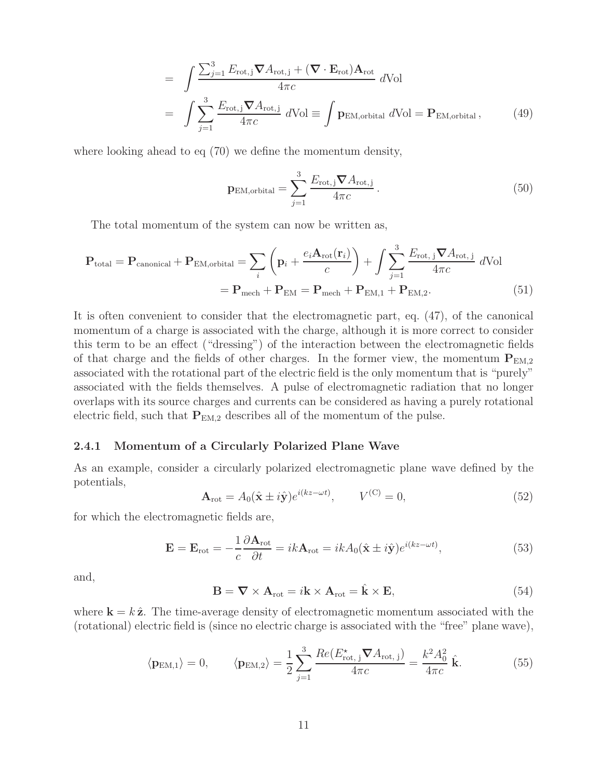$$
= \int \frac{\sum_{j=1}^{3} E_{\text{rot},j} \nabla A_{\text{rot},j} + (\nabla \cdot \mathbf{E}_{\text{rot}}) \mathbf{A}_{\text{rot}}}{4\pi c} d\text{Vol}
$$

$$
= \int \sum_{j=1}^{3} \frac{E_{\text{rot},j} \nabla A_{\text{rot},j}}{4\pi c} d\text{Vol} \equiv \int \mathbf{p}_{\text{EM}, \text{orbital}} d\text{Vol} = \mathbf{P}_{\text{EM}, \text{orbital}}, \qquad (49)
$$

where looking ahead to eq (70) we define the momentum density,

$$
\mathbf{p}_{\text{EM},\text{orbital}} = \sum_{j=1}^{3} \frac{E_{\text{rot},j} \boldsymbol{\nabla} A_{\text{rot},j}}{4\pi c}.
$$
 (50)

The total momentum of the system can now be written as,

$$
\mathbf{P}_{\text{total}} = \mathbf{P}_{\text{canonical}} + \mathbf{P}_{\text{EM}, \text{orbital}} = \sum_{i} \left( \mathbf{p}_{i} + \frac{e_{i} \mathbf{A}_{\text{rot}}(\mathbf{r}_{i})}{c} \right) + \int \sum_{j=1}^{3} \frac{E_{\text{rot}, j} \nabla A_{\text{rot}, j}}{4 \pi c} d\text{Vol}
$$

$$
= \mathbf{P}_{\text{mech}} + \mathbf{P}_{\text{EM}} = \mathbf{P}_{\text{mech}} + \mathbf{P}_{\text{EM}, 1} + \mathbf{P}_{\text{EM}, 2}.
$$
(51)

It is often convenient to consider that the electromagnetic part, eq. (47), of the canonical momentum of a charge is associated with the charge, although it is more correct to consider this term to be an effect ("dressing") of the interaction between the electromagnetic fields of that charge and the fields of other charges. In the former view, the momentum  $P_{EM,2}$ associated with the rotational part of the electric field is the only momentum that is "purely" associated with the fields themselves. A pulse of electromagnetic radiation that no longer overlaps with its source charges and currents can be considered as having a purely rotational electric field, such that  $P_{EM,2}$  describes all of the momentum of the pulse.

#### **2.4.1 Momentum of a Circularly Polarized Plane Wave**

As an example, consider a circularly polarized electromagnetic plane wave defined by the potentials,

$$
\mathbf{A}_{\rm rot} = A_0(\hat{\mathbf{x}} \pm i\hat{\mathbf{y}}) e^{i(kz - \omega t)}, \qquad V^{(\rm C)} = 0,
$$
\n(52)

for which the electromagnetic fields are,

$$
\mathbf{E} = \mathbf{E}_{\rm rot} = -\frac{1}{c} \frac{\partial \mathbf{A}_{\rm rot}}{\partial t} = ik \mathbf{A}_{\rm rot} = ik A_0 (\hat{\mathbf{x}} \pm i\hat{\mathbf{y}}) e^{i(kz - \omega t)}, \tag{53}
$$

and,

$$
\mathbf{B} = \nabla \times \mathbf{A}_{\text{rot}} = i\mathbf{k} \times \mathbf{A}_{\text{rot}} = \hat{\mathbf{k}} \times \mathbf{E},
$$
 (54)

where  $\mathbf{k} = k \hat{\mathbf{z}}$ . The time-average density of electromagnetic momentum associated with the (rotational) electric field is (since no electric charge is associated with the "free" plane wave),

$$
\langle \mathbf{p}_{\text{EM},1} \rangle = 0, \qquad \langle \mathbf{p}_{\text{EM},2} \rangle = \frac{1}{2} \sum_{j=1}^{3} \frac{Re(E_{\text{rot},j}^{\star} \nabla A_{\text{rot},j})}{4\pi c} = \frac{k^2 A_0^2}{4\pi c} \hat{\mathbf{k}}.
$$
 (55)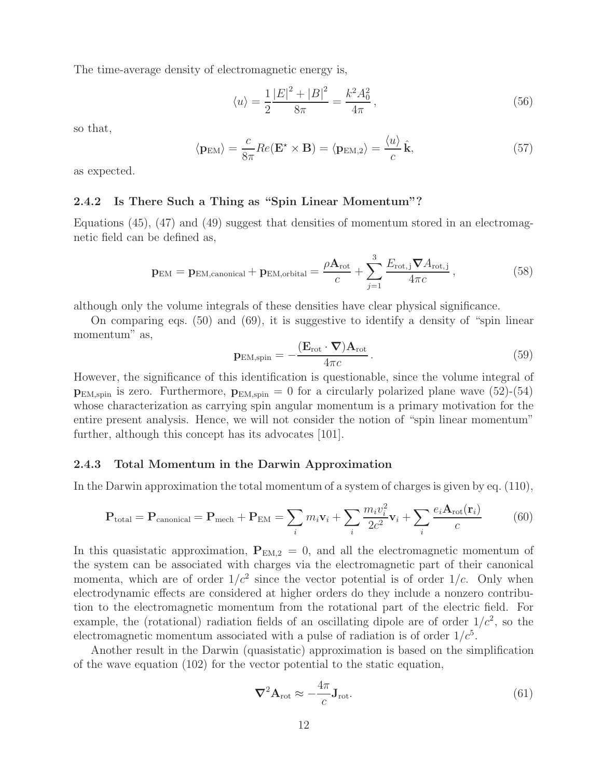The time-average density of electromagnetic energy is,

$$
\langle u \rangle = \frac{1}{2} \frac{|E|^2 + |B|^2}{8\pi} = \frac{k^2 A_0^2}{4\pi},\tag{56}
$$

so that,

$$
\langle \mathbf{p}_{\text{EM}} \rangle = \frac{c}{8\pi} Re(\mathbf{E}^* \times \mathbf{B}) = \langle \mathbf{p}_{\text{EM},2} \rangle = \frac{\langle u \rangle}{c} \hat{\mathbf{k}}, \tag{57}
$$

as expected.

#### **2.4.2 Is There Such a Thing as "Spin Linear Momentum"?**

Equations (45), (47) and (49) suggest that densities of momentum stored in an electromagnetic field can be defined as,

$$
\mathbf{p}_{\text{EM}} = \mathbf{p}_{\text{EM,canonical}} + \mathbf{p}_{\text{EM,orbital}} = \frac{\rho \mathbf{A}_{\text{rot}}}{c} + \sum_{j=1}^{3} \frac{E_{\text{rot},j} \nabla A_{\text{rot},j}}{4 \pi c},
$$
(58)

although only the volume integrals of these densities have clear physical significance.

On comparing eqs.  $(50)$  and  $(69)$ , it is suggestive to identify a density of "spin linear" momentum" as,

$$
\mathbf{p}_{\text{EM,spin}} = -\frac{(\mathbf{E}_{\text{rot}} \cdot \mathbf{\nabla}) \mathbf{A}_{\text{rot}}}{4\pi c}.
$$
\n(59)

However, the significance of this identification is questionable, since the volume integral of  $p_{EM,spin}$  is zero. Furthermore,  $p_{EM,spin} = 0$  for a circularly polarized plane wave  $(52)-(54)$ whose characterization as carrying spin angular momentum is a primary motivation for the entire present analysis. Hence, we will not consider the notion of "spin linear momentum" further, although this concept has its advocates [101].

#### **2.4.3 Total Momentum in the Darwin Approximation**

In the Darwin approximation the total momentum of a system of charges is given by eq. (110),

$$
\mathbf{P}_{\text{total}} = \mathbf{P}_{\text{canonical}} = \mathbf{P}_{\text{mech}} + \mathbf{P}_{\text{EM}} = \sum_{i} m_i \mathbf{v}_i + \sum_{i} \frac{m_i v_i^2}{2c^2} \mathbf{v}_i + \sum_{i} \frac{e_i \mathbf{A}_{\text{rot}}(\mathbf{r}_i)}{c} \tag{60}
$$

In this quasistatic approximation,  $P_{EM,2} = 0$ , and all the electromagnetic momentum of the system can be associated with charges via the electromagnetic part of their canonical momenta, which are of order  $1/c^2$  since the vector potential is of order  $1/c$ . Only when electrodynamic effects are considered at higher orders do they include a nonzero contribution to the electromagnetic momentum from the rotational part of the electric field. For example, the (rotational) radiation fields of an oscillating dipole are of order  $1/c^2$ , so the electromagnetic momentum associated with a pulse of radiation is of order  $1/c<sup>5</sup>$ .

Another result in the Darwin (quasistatic) approximation is based on the simplification of the wave equation (102) for the vector potential to the static equation,

$$
\nabla^2 \mathbf{A}_{\text{rot}} \approx -\frac{4\pi}{c} \mathbf{J}_{\text{rot}}.\tag{61}
$$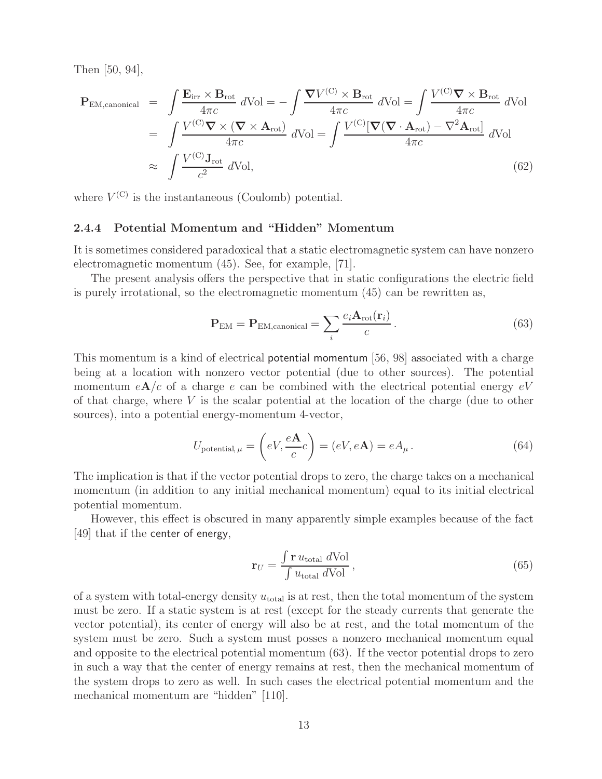Then [50, 94],

$$
\mathbf{P}_{\text{EM,canonical}} = \int \frac{\mathbf{E}_{\text{irr}} \times \mathbf{B}_{\text{rot}}}{4\pi c} d\text{Vol} = -\int \frac{\nabla V^{(C)} \times \mathbf{B}_{\text{rot}}}{4\pi c} d\text{Vol} = \int \frac{V^{(C)} \nabla \times \mathbf{B}_{\text{rot}}}{4\pi c} d\text{Vol} \n= \int \frac{V^{(C)} \nabla \times (\nabla \times \mathbf{A}_{\text{rot}})}{4\pi c} d\text{Vol} = \int \frac{V^{(C)} [\nabla (\nabla \cdot \mathbf{A}_{\text{rot}}) - \nabla^2 \mathbf{A}_{\text{rot}}]}{4\pi c} d\text{Vol} \n\approx \int \frac{V^{(C)} \mathbf{J}_{\text{rot}}}{c^2} d\text{Vol},
$$
\n(62)

where  $V^{(C)}$  is the instantaneous (Coulomb) potential.

#### **2.4.4 Potential Momentum and "Hidden" Momentum**

It is sometimes considered paradoxical that a static electromagnetic system can have nonzero electromagnetic momentum (45). See, for example, [71].

The present analysis offers the perspective that in static configurations the electric field is purely irrotational, so the electromagnetic momentum (45) can be rewritten as,

$$
\mathbf{P}_{\text{EM}} = \mathbf{P}_{\text{EM,canonical}} = \sum_{i} \frac{e_i \mathbf{A}_{\text{rot}}(\mathbf{r}_i)}{c} \,. \tag{63}
$$

This momentum is a kind of electrical potential momentum [56, 98] associated with a charge being at a location with nonzero vector potential (due to other sources). The potential momentum  $eA/c$  of a charge e can be combined with the electrical potential energy  $eV$ of that charge, where  $V$  is the scalar potential at the location of the charge (due to other sources), into a potential energy-momentum 4-vector,

$$
U_{\text{potential},\,\mu} = \left(eV, \frac{e\mathbf{A}}{c}c\right) = \left(eV, e\mathbf{A}\right) = eA_{\mu}.
$$
\n(64)

The implication is that if the vector potential drops to zero, the charge takes on a mechanical momentum (in addition to any initial mechanical momentum) equal to its initial electrical potential momentum.

However, this effect is obscured in many apparently simple examples because of the fact [49] that if the center of energy,

$$
\mathbf{r}_U = \frac{\int \mathbf{r} \, u_{\text{total}} \, d\text{Vol}}{\int u_{\text{total}} \, d\text{Vol}},\tag{65}
$$

of a system with total-energy density  $u_{total}$  is at rest, then the total momentum of the system must be zero. If a static system is at rest (except for the steady currents that generate the vector potential), its center of energy will also be at rest, and the total momentum of the system must be zero. Such a system must posses a nonzero mechanical momentum equal and opposite to the electrical potential momentum (63). If the vector potential drops to zero in such a way that the center of energy remains at rest, then the mechanical momentum of the system drops to zero as well. In such cases the electrical potential momentum and the mechanical momentum are "hidden" [110].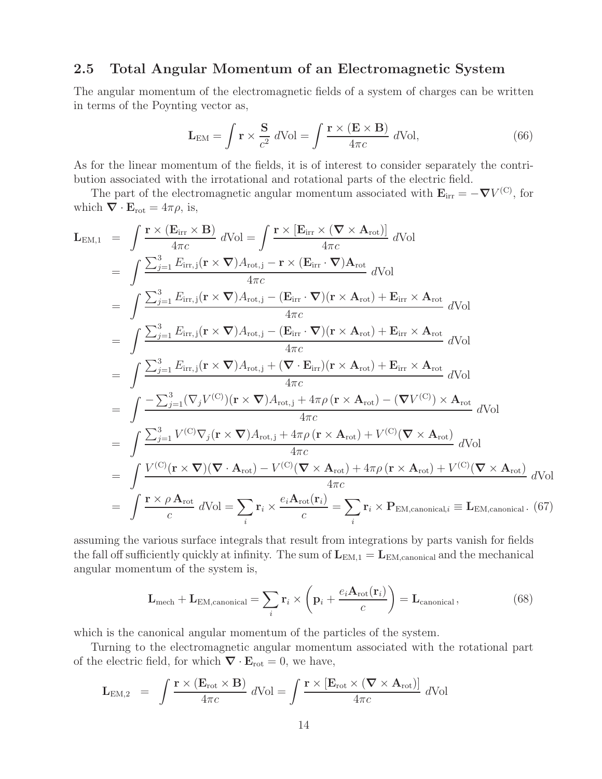### **2.5 Total Angular Momentum of an Electromagnetic System**

The angular momentum of the electromagnetic fields of a system of charges can be written in terms of the Poynting vector as,

$$
\mathbf{L}_{EM} = \int \mathbf{r} \times \frac{\mathbf{S}}{c^2} \, d\text{Vol} = \int \frac{\mathbf{r} \times (\mathbf{E} \times \mathbf{B})}{4\pi c} \, d\text{Vol},\tag{66}
$$

As for the linear momentum of the fields, it is of interest to consider separately the contribution associated with the irrotational and rotational parts of the electric field.

The part of the electromagnetic angular momentum associated with  $\mathbf{E}_{irr} = -\nabla V^{(C)}$ , for which  $\nabla \cdot \mathbf{E}_{\text{rot}} = 4\pi \rho$ , is,

$$
\mathbf{L}_{EM,1} = \int \frac{\mathbf{r} \times (\mathbf{E}_{irr} \times \mathbf{B})}{4\pi c} dVol = \int \frac{\mathbf{r} \times [\mathbf{E}_{irr} \times (\nabla \times \mathbf{A}_{rot})]}{4\pi c} dVol
$$
\n
$$
= \int \frac{\sum_{j=1}^{3} E_{irr,j}(\mathbf{r} \times \nabla) A_{rot,j} - \mathbf{r} \times (\mathbf{E}_{irr} \cdot \nabla) \mathbf{A}_{rot}}{4\pi c} dVol
$$
\n
$$
= \int \frac{\sum_{j=1}^{3} E_{irr,j}(\mathbf{r} \times \nabla) A_{rot,j} - (\mathbf{E}_{irr} \cdot \nabla)(\mathbf{r} \times \mathbf{A}_{rot}) + \mathbf{E}_{irr} \times \mathbf{A}_{rot}}{4\pi c} dVol
$$
\n
$$
= \int \frac{\sum_{j=1}^{3} E_{irr,j}(\mathbf{r} \times \nabla) A_{rot,j} - (\mathbf{E}_{irr} \cdot \nabla)(\mathbf{r} \times \mathbf{A}_{rot}) + \mathbf{E}_{irr} \times \mathbf{A}_{rot}}{4\pi c} dVol
$$
\n
$$
= \int \frac{\sum_{j=1}^{3} E_{irr,j}(\mathbf{r} \times \nabla) A_{rot,j} + (\nabla \cdot \mathbf{E}_{irr})(\mathbf{r} \times \mathbf{A}_{rot}) + \mathbf{E}_{irr} \times \mathbf{A}_{rot}}{4\pi c} dVol
$$
\n
$$
= \int \frac{-\sum_{j=1}^{3} (\nabla_{j} V^{(C)}) (\mathbf{r} \times \nabla) A_{rot,j} + 4\pi \rho (\mathbf{r} \times \mathbf{A}_{rot}) - (\nabla V^{(C)}) \times \mathbf{A}_{rot}}{4\pi c} dVol
$$
\n
$$
= \int \frac{\sum_{j=1}^{3} V^{(C)} \nabla_{j} (\mathbf{r} \times \nabla) A_{rot,j} + 4\pi \rho (\mathbf{r} \times \mathbf{A}_{rot}) + V^{(C)} (\nabla \times \mathbf{A}_{rot})}{4\pi c} dVol
$$
\n
$$
= \int \frac{V^{(C)}(\mathbf{r} \times \nabla
$$

assuming the various surface integrals that result from integrations by parts vanish for fields the fall off sufficiently quickly at infinity. The sum of  $L_{EM,1} = L_{EM,canonical}$  and the mechanical angular momentum of the system is,

$$
\mathbf{L}_{\text{mech}} + \mathbf{L}_{\text{EM,canonical}} = \sum_{i} \mathbf{r}_{i} \times \left( \mathbf{p}_{i} + \frac{e_{i} \mathbf{A}_{\text{rot}}(\mathbf{r}_{i})}{c} \right) = \mathbf{L}_{\text{canonical}},
$$
\n(68)

which is the canonical angular momentum of the particles of the system.

Turning to the electromagnetic angular momentum associated with the rotational part of the electric field, for which  $\nabla \cdot \mathbf{E}_{\text{rot}} = 0$ , we have,

$$
\mathbf{L}_{\text{EM},2} = \int \frac{\mathbf{r} \times (\mathbf{E}_{\text{rot}} \times \mathbf{B})}{4\pi c} d\text{Vol} = \int \frac{\mathbf{r} \times [\mathbf{E}_{\text{rot}} \times (\mathbf{\nabla} \times \mathbf{A}_{\text{rot}})]}{4\pi c} d\text{Vol}
$$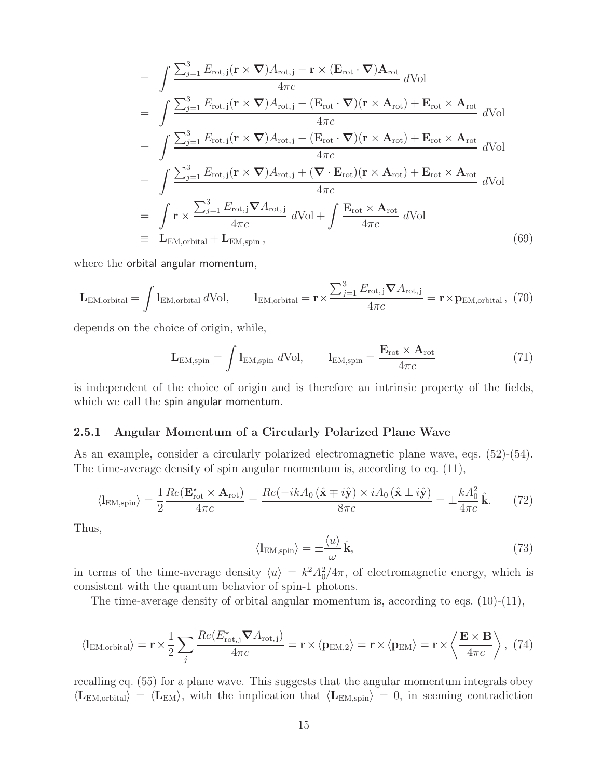$$
= \int \frac{\sum_{j=1}^{3} E_{\text{rot},j}(\mathbf{r} \times \nabla) A_{\text{rot},j} - \mathbf{r} \times (E_{\text{rot}} \cdot \nabla) A_{\text{rot}}}{4\pi c} d\text{Vol}
$$
  
\n
$$
= \int \frac{\sum_{j=1}^{3} E_{\text{rot},j}(\mathbf{r} \times \nabla) A_{\text{rot},j} - (E_{\text{rot}} \cdot \nabla)(\mathbf{r} \times A_{\text{rot}}) + E_{\text{rot}} \times A_{\text{rot}}}{4\pi c} d\text{Vol}
$$
  
\n
$$
= \int \frac{\sum_{j=1}^{3} E_{\text{rot},j}(\mathbf{r} \times \nabla) A_{\text{rot},j} - (E_{\text{rot}} \cdot \nabla)(\mathbf{r} \times A_{\text{rot}}) + E_{\text{rot}} \times A_{\text{rot}}}{4\pi c} d\text{Vol}
$$
  
\n
$$
= \int \frac{\sum_{j=1}^{3} E_{\text{rot},j}(\mathbf{r} \times \nabla) A_{\text{rot},j} + (\nabla \cdot E_{\text{rot}})(\mathbf{r} \times A_{\text{rot}}) + E_{\text{rot}} \times A_{\text{rot}}}{4\pi c} d\text{Vol}
$$
  
\n
$$
= \int \mathbf{r} \times \frac{\sum_{j=1}^{3} E_{\text{rot},j} \nabla A_{\text{rot},j}}{4\pi c} d\text{Vol} + \int \frac{E_{\text{rot}} \times A_{\text{rot}}}{4\pi c} d\text{Vol}
$$
  
\n
$$
= L_{\text{EM},\text{orbital}} + L_{\text{EM},\text{spin}}, \qquad (69)
$$

where the orbital angular momentum,

$$
\mathbf{L}_{\text{EM},\text{orbital}} = \int \mathbf{l}_{\text{EM},\text{orbital}} d\text{Vol}, \qquad \mathbf{l}_{\text{EM},\text{orbital}} = \mathbf{r} \times \frac{\sum_{j=1}^{3} E_{\text{rot},j} \boldsymbol{\nabla} A_{\text{rot},j}}{4\pi c} = \mathbf{r} \times \mathbf{p}_{\text{EM},\text{orbital}}, \tag{70}
$$

depends on the choice of origin, while,

$$
\mathbf{L}_{\text{EM,spin}} = \int \mathbf{l}_{\text{EM,spin}} d\text{Vol}, \qquad \mathbf{l}_{\text{EM,spin}} = \frac{\mathbf{E}_{\text{rot}} \times \mathbf{A}_{\text{rot}}}{4\pi c} \tag{71}
$$

is independent of the choice of origin and is therefore an intrinsic property of the fields, which we call the spin angular momentum.

#### **2.5.1 Angular Momentum of a Circularly Polarized Plane Wave**

As an example, consider a circularly polarized electromagnetic plane wave, eqs. (52)-(54). The time-average density of spin angular momentum is, according to eq. (11),

$$
\langle I_{\text{EM,spin}} \rangle = \frac{1}{2} \frac{Re(\mathbf{E}_{\text{rot}}^{\star} \times \mathbf{A}_{\text{rot}})}{4\pi c} = \frac{Re(-ikA_0(\hat{\mathbf{x}} \mp i\hat{\mathbf{y}}) \times iA_0(\hat{\mathbf{x}} \pm i\hat{\mathbf{y}})}{8\pi c} = \pm \frac{kA_0^2}{4\pi c} \hat{\mathbf{k}}. \tag{72}
$$

Thus,

$$
\langle I_{\text{EM,spin}} \rangle = \pm \frac{\langle u \rangle}{\omega} \hat{\mathbf{k}},\tag{73}
$$

in terms of the time-average density  $\langle u \rangle = k^2 A_0^2 / 4\pi$ , of electromagnetic energy, which is consistent with the quantum behavior of spin-1 photons.

The time-average density of orbital angular momentum is, according to eqs. (10)-(11),

$$
\langle I_{EM,orbital} \rangle = \mathbf{r} \times \frac{1}{2} \sum_{j} \frac{Re(E_{\text{rot},j}^{*} \nabla A_{\text{rot},j})}{4\pi c} = \mathbf{r} \times \langle \mathbf{p}_{EM,2} \rangle = \mathbf{r} \times \langle \mathbf{p}_{EM} \rangle = \mathbf{r} \times \left\langle \frac{\mathbf{E} \times \mathbf{B}}{4\pi c} \right\rangle, (74)
$$

recalling eq. (55) for a plane wave. This suggests that the angular momentum integrals obey  $\langle L_{EM,orbital} \rangle = \langle L_{EM} \rangle$ , with the implication that  $\langle L_{EM,spin} \rangle = 0$ , in seeming contradiction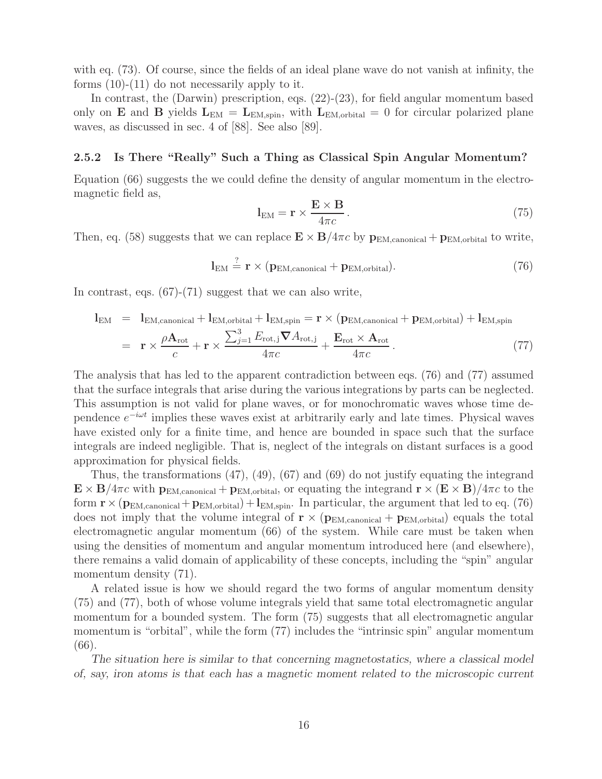with eq. (73). Of course, since the fields of an ideal plane wave do not vanish at infinity, the forms (10)-(11) do not necessarily apply to it.

In contrast, the (Darwin) prescription, eqs.  $(22)-(23)$ , for field angular momentum based only on **E** and **B** yields  $L_{EM} = L_{EM,spin}$ , with  $L_{EM,orbital} = 0$  for circular polarized plane waves, as discussed in sec. 4 of [88]. See also [89].

#### **2.5.2 Is There "Really" Such a Thing as Classical Spin Angular Momentum?**

Equation (66) suggests the we could define the density of angular momentum in the electromagnetic field as,

$$
\mathbf{l}_{\text{EM}} = \mathbf{r} \times \frac{\mathbf{E} \times \mathbf{B}}{4\pi c} \,. \tag{75}
$$

Then, eq. (58) suggests that we can replace  $\mathbf{E} \times \mathbf{B}/4\pi c$  by  $\mathbf{p}_{\text{EM,canonical}} + \mathbf{p}_{\text{EM,orbital}}$  to write,

$$
\mathbf{l}_{\text{EM}} \stackrel{?}{=} \mathbf{r} \times (\mathbf{p}_{\text{EM,canonical}} + \mathbf{p}_{\text{EM,orbital}}). \tag{76}
$$

In contrast, eqs.  $(67)-(71)$  suggest that we can also write,

$$
\mathbf{l}_{\text{EM}} = \mathbf{l}_{\text{EM,canonical}} + \mathbf{l}_{\text{EM,orbital}} + \mathbf{l}_{\text{EM,spin}} = \mathbf{r} \times (\mathbf{p}_{\text{EM,canonical}} + \mathbf{p}_{\text{EM,orbital}}) + \mathbf{l}_{\text{EM,spin}}
$$
\n
$$
= \mathbf{r} \times \frac{\rho \mathbf{A}_{\text{rot}}}{c} + \mathbf{r} \times \frac{\sum_{j=1}^{3} E_{\text{rot},j} \nabla A_{\text{rot},j}}{4\pi c} + \frac{\mathbf{E}_{\text{rot}} \times \mathbf{A}_{\text{rot}}}{4\pi c}.
$$
\n(77)

The analysis that has led to the apparent contradiction between eqs. (76) and (77) assumed that the surface integrals that arise during the various integrations by parts can be neglected. This assumption is not valid for plane waves, or for monochromatic waves whose time dependence  $e^{-i\omega t}$  implies these waves exist at arbitrarily early and late times. Physical waves have existed only for a finite time, and hence are bounded in space such that the surface integrals are indeed negligible. That is, neglect of the integrals on distant surfaces is a good approximation for physical fields.

Thus, the transformations (47), (49), (67) and (69) do not justify equating the integrand  $\mathbf{E} \times \mathbf{B}/4\pi c$  with  $\mathbf{p}_{\text{EM,canonical}} + \mathbf{p}_{\text{EM,orbital}}$ , or equating the integrand  $\mathbf{r} \times (\mathbf{E} \times \mathbf{B})/4\pi c$  to the form  $\mathbf{r} \times (\mathbf{p}_{\text{EM,canonical}} + \mathbf{p}_{\text{EM,orbital}}) + \mathbf{l}_{\text{EM,spin}}$ . In particular, the argument that led to eq. (76) does not imply that the volume integral of  $\mathbf{r} \times (\mathbf{p}_{EM,canonical} + \mathbf{p}_{EM,orbital})$  equals the total electromagnetic angular momentum (66) of the system. While care must be taken when using the densities of momentum and angular momentum introduced here (and elsewhere), there remains a valid domain of applicability of these concepts, including the "spin" angular momentum density  $(71)$ .

A related issue is how we should regard the two forms of angular momentum density (75) and (77), both of whose volume integrals yield that same total electromagnetic angular momentum for a bounded system. The form (75) suggests that all electromagnetic angular momentum is "orbital", while the form (77) includes the "intrinsic spin" angular momentum (66).

*The situation here is similar to that concerning magnetostatics, where a classical model of, say, iron atoms is that each has a magnetic moment related to the microscopic current*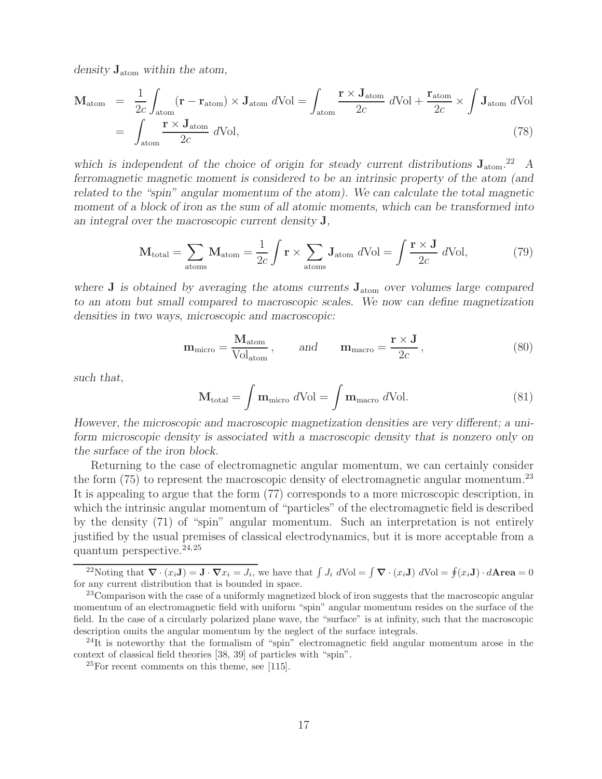*density* **J**atom *within the atom,*

$$
\mathbf{M}_{\text{atom}} = \frac{1}{2c} \int_{\text{atom}} (\mathbf{r} - \mathbf{r}_{\text{atom}}) \times \mathbf{J}_{\text{atom}} d\text{Vol} = \int_{\text{atom}} \frac{\mathbf{r} \times \mathbf{J}_{\text{atom}}}{2c} d\text{Vol} + \frac{\mathbf{r}_{\text{atom}}}{2c} \times \int \mathbf{J}_{\text{atom}} d\text{Vol}
$$

$$
= \int_{\text{atom}} \frac{\mathbf{r} \times \mathbf{J}_{\text{atom}}}{2c} d\text{Vol}, \tag{78}
$$

which is independent of the choice of origin for steady current distributions  $J_{atom}$ <sup>22</sup> *A ferromagnetic magnetic moment is considered to be an intrinsic property of the atom (and related to the "spin" angular momentum of the atom). We can calculate the total magnetic moment of a block of iron as the sum of all atomic moments, which can be transformed into an integral over the macroscopic current density* **J***,*

$$
\mathbf{M}_{\text{total}} = \sum_{\text{atoms}} \mathbf{M}_{\text{atom}} = \frac{1}{2c} \int \mathbf{r} \times \sum_{\text{atoms}} \mathbf{J}_{\text{atom}} \ d\text{Vol} = \int \frac{\mathbf{r} \times \mathbf{J}}{2c} \ d\text{Vol},\tag{79}
$$

*where* **J** *is obtained by averaging the atoms currents* **J**atom *over volumes large compared to an atom but small compared to macroscopic scales. We now can define magnetization densities in two ways, microscopic and macroscopic:*

$$
\mathbf{m}_{\text{micro}} = \frac{\mathbf{M}_{\text{atom}}}{\text{Vol}_{\text{atom}}}, \quad \text{and} \quad \mathbf{m}_{\text{macro}} = \frac{\mathbf{r} \times \mathbf{J}}{2c}, \tag{80}
$$

*such that,*

$$
\mathbf{M}_{\text{total}} = \int \mathbf{m}_{\text{micro}} \ d\text{Vol} = \int \mathbf{m}_{\text{macro}} \ d\text{Vol}. \tag{81}
$$

*However, the microscopic and macroscopic magnetization densities are very different; a uniform microscopic density is associated with a macroscopic density that is nonzero only on the surface of the iron block.*

Returning to the case of electromagnetic angular momentum, we can certainly consider the form  $(75)$  to represent the macroscopic density of electromagnetic angular momentum.<sup>23</sup> It is appealing to argue that the form (77) corresponds to a more microscopic description, in which the intrinsic angular momentum of "particles" of the electromagnetic field is described by the density (71) of "spin" angular momentum. Such an interpretation is not entirely justified by the usual premises of classical electrodynamics, but it is more acceptable from a quantum perspective. $24,25$ 

<sup>&</sup>lt;sup>22</sup>Noting that  $\nabla \cdot (x_i \mathbf{J}) = \mathbf{J} \cdot \nabla x_i = J_i$ , we have that  $\int J_i dVol = \int \nabla \cdot (x_i \mathbf{J}) dVol = \oint (x_i \mathbf{J}) \cdot d\mathbf{Area} = 0$ for any current distribution that is bounded in space.

<sup>&</sup>lt;sup>23</sup>Comparison with the case of a uniformly magnetized block of iron suggests that the macroscopic angular momentum of an electromagnetic field with uniform "spin" angular momentum resides on the surface of the field. In the case of a circularly polarized plane wave, the "surface" is at infinity, such that the macroscopic description omits the angular momentum by the neglect of the surface integrals.

 $^{24}$ It is noteworthy that the formalism of "spin" electromagnetic field angular momentum arose in the context of classical field theories [38, 39] of particles with "spin".

 $25$ For recent comments on this theme, see [115].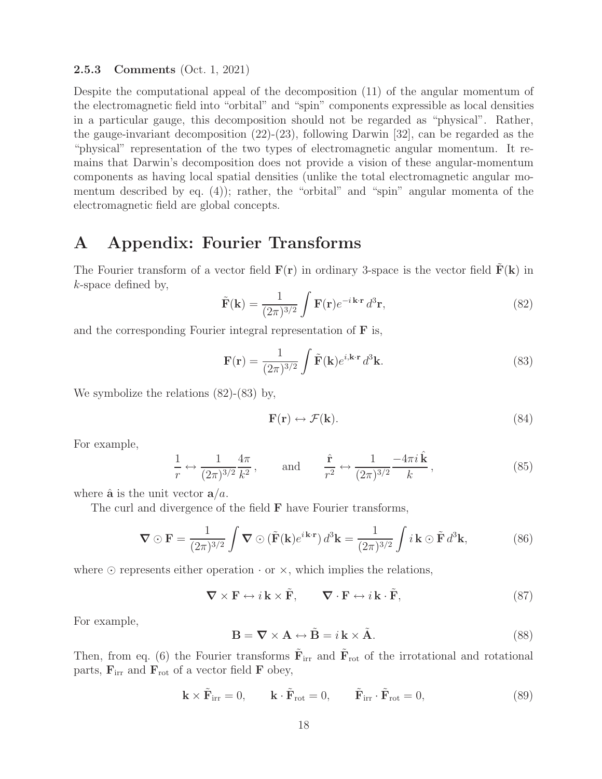#### **2.5.3 Comments** (Oct. 1, 2021)

Despite the computational appeal of the decomposition (11) of the angular momentum of the electromagnetic field into "orbital" and "spin" components expressible as local densities in a particular gauge, this decomposition should not be regarded as "physical". Rather, the gauge-invariant decomposition (22)-(23), following Darwin [32], can be regarded as the "physical" representation of the two types of electromagnetic angular momentum. It remains that Darwin's decomposition does not provide a vision of these angular-momentum components as having local spatial densities (unlike the total electromagnetic angular momentum described by eq. (4)); rather, the "orbital" and "spin" angular momenta of the electromagnetic field are global concepts.

### **A Appendix: Fourier Transforms**

The Fourier transform of a vector field  $\mathbf{F}(\mathbf{r})$  in ordinary 3-space is the vector field  $\mathbf{F}(\mathbf{k})$  in k-space defined by,

$$
\tilde{\mathbf{F}}(\mathbf{k}) = \frac{1}{(2\pi)^{3/2}} \int \mathbf{F}(\mathbf{r}) e^{-i\mathbf{k}\cdot\mathbf{r}} d^3 \mathbf{r},
$$
\n(82)

and the corresponding Fourier integral representation of **F** is,

$$
\mathbf{F}(\mathbf{r}) = \frac{1}{(2\pi)^{3/2}} \int \tilde{\mathbf{F}}(\mathbf{k}) e^{i\mathbf{k}\cdot\mathbf{r}} d^3 \mathbf{k}.
$$
 (83)

We symbolize the relations (82)-(83) by,

$$
\mathbf{F}(\mathbf{r}) \leftrightarrow \mathcal{F}(\mathbf{k}).\tag{84}
$$

For example,

$$
\frac{1}{r} \leftrightarrow \frac{1}{(2\pi)^{3/2}} \frac{4\pi}{k^2}, \quad \text{and} \quad \frac{\hat{\mathbf{r}}}{r^2} \leftrightarrow \frac{1}{(2\pi)^{3/2}} \frac{-4\pi i \hat{\mathbf{k}}}{k}, \tag{85}
$$

where  $\hat{\mathbf{a}}$  is the unit vector  $\mathbf{a}/a$ .

The curl and divergence of the field **F** have Fourier transforms,

$$
\nabla \odot \mathbf{F} = \frac{1}{(2\pi)^{3/2}} \int \nabla \odot (\tilde{\mathbf{F}}(\mathbf{k})e^{i\mathbf{k}\cdot\mathbf{r}}) d^3\mathbf{k} = \frac{1}{(2\pi)^{3/2}} \int i\mathbf{k} \odot \tilde{\mathbf{F}} d^3\mathbf{k},
$$
 (86)

where  $\odot$  represents either operation  $\cdot$  or  $\times$ , which implies the relations,

$$
\nabla \times \mathbf{F} \leftrightarrow i\mathbf{k} \times \tilde{\mathbf{F}}, \qquad \nabla \cdot \mathbf{F} \leftrightarrow i\mathbf{k} \cdot \tilde{\mathbf{F}}, \tag{87}
$$

For example,

$$
\mathbf{B} = \nabla \times \mathbf{A} \leftrightarrow \tilde{\mathbf{B}} = i \mathbf{k} \times \tilde{\mathbf{A}}.
$$
 (88)

Then, from eq. (6) the Fourier transforms  $\tilde{\mathbf{F}}_{irr}$  and  $\tilde{\mathbf{F}}_{rot}$  of the irrotational and rotational parts,  $\mathbf{F}_{irr}$  and  $\mathbf{F}_{rot}$  of a vector field **F** obey,

$$
\mathbf{k} \times \tilde{\mathbf{F}}_{irr} = 0, \qquad \mathbf{k} \cdot \tilde{\mathbf{F}}_{rot} = 0, \qquad \tilde{\mathbf{F}}_{irr} \cdot \tilde{\mathbf{F}}_{rot} = 0,
$$
 (89)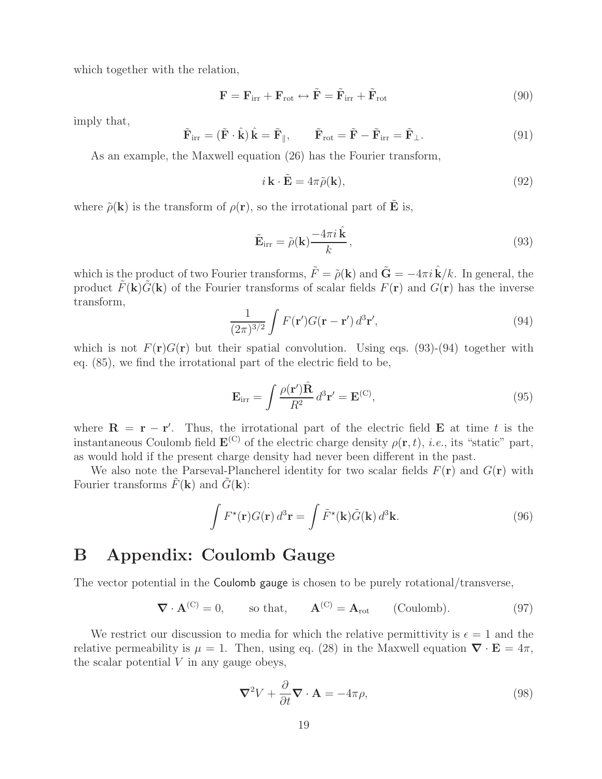which together with the relation,

$$
\mathbf{F} = \mathbf{F}_{irr} + \mathbf{F}_{rot} \leftrightarrow \tilde{\mathbf{F}} = \tilde{\mathbf{F}}_{irr} + \tilde{\mathbf{F}}_{rot}
$$
(90)

imply that,

$$
\tilde{\mathbf{F}}_{irr} = (\tilde{\mathbf{F}} \cdot \hat{\mathbf{k}}) \hat{\mathbf{k}} = \tilde{\mathbf{F}}_{\parallel}, \qquad \tilde{\mathbf{F}}_{rot} = \tilde{\mathbf{F}} - \tilde{\mathbf{F}}_{irr} = \tilde{\mathbf{F}}_{\perp}. \tag{91}
$$

As an example, the Maxwell equation (26) has the Fourier transform,

$$
i\,\mathbf{k}\cdot\tilde{\mathbf{E}} = 4\pi\tilde{\rho}(\mathbf{k}),\tag{92}
$$

where  $\tilde{\rho}(\mathbf{k})$  is the transform of  $\rho(\mathbf{r})$ , so the irrotational part of **E** is,

$$
\tilde{\mathbf{E}}_{irr} = \tilde{\rho}(\mathbf{k}) \frac{-4\pi i \,\hat{\mathbf{k}}}{k},\tag{93}
$$

which is the product of two Fourier transforms,  $\tilde{F} = \tilde{\rho}(\mathbf{k})$  and  $\tilde{\mathbf{G}} = -4\pi i \tilde{\mathbf{k}}/k$ . In general, the product  $\tilde{F}(\mathbf{k})\tilde{G}(\mathbf{k})$  of the Fourier transforms of scalar fields  $F(\mathbf{r})$  and  $G(\mathbf{r})$  has the inverse transform,

$$
\frac{1}{(2\pi)^{3/2}} \int F(\mathbf{r}') G(\mathbf{r} - \mathbf{r}') d^3 \mathbf{r}',\tag{94}
$$

which is not  $F(\mathbf{r})G(\mathbf{r})$  but their spatial convolution. Using eqs. (93)-(94) together with eq. (85), we find the irrotational part of the electric field to be,

$$
\mathbf{E}_{\rm irr} = \int \frac{\rho(\mathbf{r}') \hat{\mathbf{R}}}{R^2} d^3 \mathbf{r}' = \mathbf{E}^{(\rm C)},\tag{95}
$$

where  $\mathbf{R} = \mathbf{r} - \mathbf{r}'$ . Thus, the irrotational part of the electric field  $\mathbf{E}$  at time t is the instantaneous Coulomb field  $\mathbf{E}^{(C)}$  of the electric charge density  $\rho(\mathbf{r}, t)$ , *i.e.*, its "static" part, as would hold if the present charge density had never been different in the past.

We also note the Parseval-Plancherel identity for two scalar fields  $F(\mathbf{r})$  and  $G(\mathbf{r})$  with Fourier transforms  $\tilde{F}(\mathbf{k})$  and  $\tilde{G}(\mathbf{k})$ :

$$
\int F^{\star}(\mathbf{r})G(\mathbf{r}) d^{3}\mathbf{r} = \int \tilde{F}^{\star}(\mathbf{k})\tilde{G}(\mathbf{k}) d^{3}\mathbf{k}.
$$
 (96)

## **B Appendix: Coulomb Gauge**

The vector potential in the Coulomb gauge is chosen to be purely rotational/transverse,

$$
\nabla \cdot \mathbf{A}^{(C)} = 0, \qquad \text{so that,} \qquad \mathbf{A}^{(C)} = \mathbf{A}_{\text{rot}} \qquad \text{(Coulomb)}.
$$
 (97)

We restrict our discussion to media for which the relative permittivity is  $\epsilon = 1$  and the relative permeability is  $\mu = 1$ . Then, using eq. (28) in the Maxwell equation  $\nabla \cdot \mathbf{E} = 4\pi$ , the scalar potential  $V$  in any gauge obeys,

$$
\nabla^2 V + \frac{\partial}{\partial t} \nabla \cdot \mathbf{A} = -4\pi \rho, \qquad (98)
$$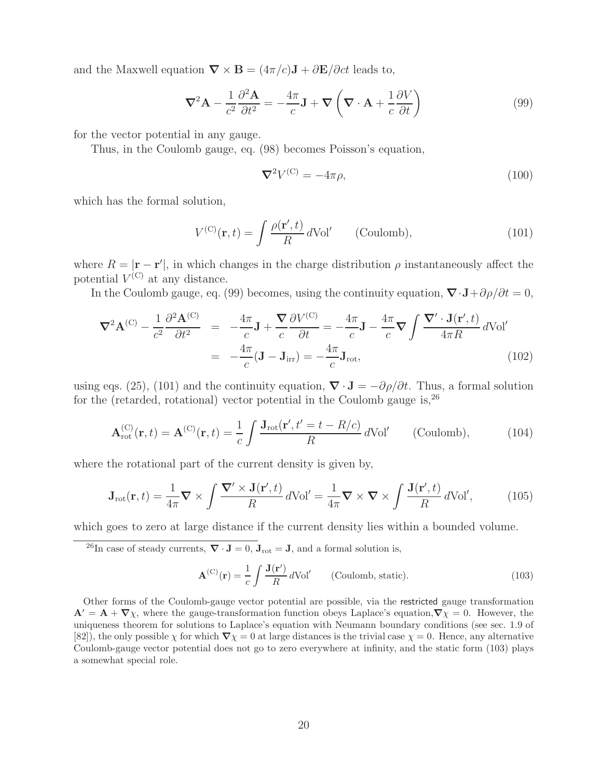and the Maxwell equation  $\nabla \times \mathbf{B} = (4\pi/c)\mathbf{J} + \partial \mathbf{E}/\partial ct$  leads to,

$$
\nabla^2 \mathbf{A} - \frac{1}{c^2} \frac{\partial^2 \mathbf{A}}{\partial t^2} = -\frac{4\pi}{c} \mathbf{J} + \nabla \left( \nabla \cdot \mathbf{A} + \frac{1}{c} \frac{\partial V}{\partial t} \right)
$$
(99)

for the vector potential in any gauge.

Thus, in the Coulomb gauge, eq. (98) becomes Poisson's equation,

$$
\nabla^2 V^{(\mathcal{C})} = -4\pi \rho,\tag{100}
$$

which has the formal solution,

$$
V^{(C)}(\mathbf{r},t) = \int \frac{\rho(\mathbf{r}',t)}{R} d\text{Vol}' \qquad \text{(Coulomb)},\tag{101}
$$

where  $R = |\mathbf{r} - \mathbf{r}'|$ , in which changes in the charge distribution  $\rho$  instantaneously affect the potential  $V^{(C)}$  at any distance.

In the Coulomb gauge, eq. (99) becomes, using the continuity equation,  $\nabla \cdot \mathbf{J} + \partial \rho / \partial t = 0$ ,

$$
\nabla^2 \mathbf{A}^{(C)} - \frac{1}{c^2} \frac{\partial^2 \mathbf{A}^{(C)}}{\partial t^2} = -\frac{4\pi}{c} \mathbf{J} + \frac{\nabla}{c} \frac{\partial V^{(C)}}{\partial t} = -\frac{4\pi}{c} \mathbf{J} - \frac{4\pi}{c} \nabla \int \frac{\nabla' \cdot \mathbf{J}(\mathbf{r}',t)}{4\pi R} d\text{Vol}'
$$

$$
= -\frac{4\pi}{c} (\mathbf{J} - \mathbf{J}_{irr}) = -\frac{4\pi}{c} \mathbf{J}_{rot}, \qquad (102)
$$

using eqs. (25), (101) and the continuity equation,  $\nabla \cdot \mathbf{J} = -\partial \rho / \partial t$ . Thus, a formal solution for the (retarded, rotational) vector potential in the Coulomb gauge is,  $26$ 

$$
\mathbf{A}_{\rm rot}^{(C)}(\mathbf{r},t) = \mathbf{A}^{(C)}(\mathbf{r},t) = \frac{1}{c} \int \frac{\mathbf{J}_{\rm rot}(\mathbf{r}',t'=t-R/c)}{R} d\text{Vol}' \qquad \text{(Coulomb)},\tag{104}
$$

where the rotational part of the current density is given by,

$$
\mathbf{J}_{\rm rot}(\mathbf{r},t) = \frac{1}{4\pi} \mathbf{\nabla} \times \int \frac{\mathbf{\nabla}' \times \mathbf{J}(\mathbf{r}',t)}{R} \, d\text{Vol}' = \frac{1}{4\pi} \mathbf{\nabla} \times \mathbf{\nabla} \times \int \frac{\mathbf{J}(\mathbf{r}',t)}{R} \, d\text{Vol}',\tag{105}
$$

which goes to zero at large distance if the current density lies within a bounded volume.

<sup>26</sup>In case of steady currents,  $\nabla \cdot \mathbf{J} = 0$ ,  $\mathbf{J}_{\text{rot}} = \mathbf{J}$ , and a formal solution is,

$$
\mathbf{A}^{(\mathcal{C})}(\mathbf{r}) = \frac{1}{c} \int \frac{\mathbf{J}(\mathbf{r}')}{R} d\text{Vol}' \qquad \text{(Coulomb, static)}.
$$
 (103)

Other forms of the Coulomb-gauge vector potential are possible, via the restricted gauge transformation  ${\bf A}' = {\bf A} + \nabla \chi$ , where the gauge-transformation function obeys Laplace's equation, $\nabla \chi = 0$ . However, the uniqueness theorem for solutions to Laplace's equation with Neumann boundary conditions (see sec. 1.9 of [82]), the only possible  $\chi$  for which  $\nabla \chi = 0$  at large distances is the trivial case  $\chi = 0$ . Hence, any alternative Coulomb-gauge vector potential does not go to zero everywhere at infinity, and the static form (103) plays a somewhat special role.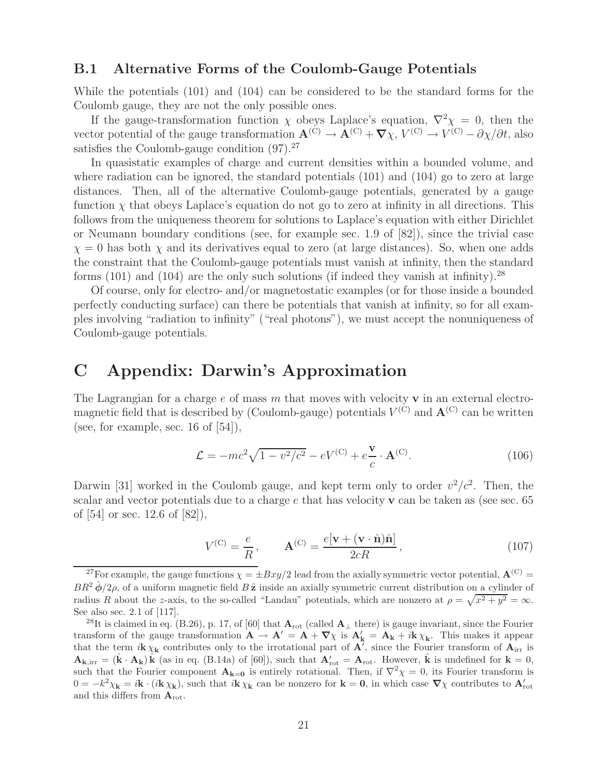### **B.1 Alternative Forms of the Coulomb-Gauge Potentials**

While the potentials (101) and (104) can be considered to be the standard forms for the Coulomb gauge, they are not the only possible ones.

If the gauge-transformation function  $\chi$  obeys Laplace's equation,  $\nabla^2 \chi = 0$ , then the vector potential of the gauge transformation  $\mathbf{A}^{(C)} \to \mathbf{A}^{(C)} + \nabla \chi$ ,  $V^{(C)} \to V^{(C)} - \partial \chi / \partial t$ , also satisfies the Coulomb-gauge condition  $(97).^{27}$ 

In quasistatic examples of charge and current densities within a bounded volume, and where radiation can be ignored, the standard potentials (101) and (104) go to zero at large distances. Then, all of the alternative Coulomb-gauge potentials, generated by a gauge function  $\chi$  that obeys Laplace's equation do not go to zero at infinity in all directions. This follows from the uniqueness theorem for solutions to Laplace's equation with either Dirichlet or Neumann boundary conditions (see, for example sec. 1.9 of [82]), since the trivial case  $\chi = 0$  has both  $\chi$  and its derivatives equal to zero (at large distances). So, when one adds the constraint that the Coulomb-gauge potentials must vanish at infinity, then the standard forms (101) and (104) are the only such solutions (if indeed they vanish at infinity).<sup>28</sup>

Of course, only for electro- and/or magnetostatic examples (or for those inside a bounded perfectly conducting surface) can there be potentials that vanish at infinity, so for all examples involving "radiation to infinity" ("real photons"), we must accept the nonuniqueness of Coulomb-gauge potentials.

## **C Appendix: Darwin's Approximation**

The Lagrangian for a charge e of mass m that moves with velocity **v** in an external electromagnetic field that is described by (Coulomb-gauge) potentials  $V^{(C)}$  and  $\mathbf{A}^{(C)}$  can be written (see, for example, sec. 16 of  $[54]$ ),

$$
\mathcal{L} = -mc^2\sqrt{1 - v^2/c^2} - eV^{(C)} + e\frac{\mathbf{v}}{c} \cdot \mathbf{A}^{(C)}.
$$
 (106)

Darwin [31] worked in the Coulomb gauge, and kept term only to order  $v^2/c^2$ . Then, the scalar and vector potentials due to a charge e that has velocity **v** can be taken as (see sec. 65 of [54] or sec. 12.6 of [82]),

$$
V^{(C)} = \frac{e}{R}, \qquad \mathbf{A}^{(C)} = \frac{e[\mathbf{v} + (\mathbf{v} \cdot \hat{\mathbf{n}})\hat{\mathbf{n}}]}{2cR}, \qquad (107)
$$

<sup>&</sup>lt;sup>27</sup>For example, the gauge functions  $\chi = \pm Bxy/2$  lead from the axially symmetric vector potential,  $\mathbf{A}^{(C)}$  =  $BR^2 \hat{\phi}/2\rho$ , of a uniform magnetic field  $B\hat{\mathbf{z}}$  inside an axially symmetric current distribution on a cylinder of radius R about the z-axis, to the so-called "Landau" potentials, which are nonzero at  $\rho = \sqrt{x^2 + y^2} = \infty$ . See also sec. 2.1 of [117].

<sup>&</sup>lt;sup>28</sup>It is claimed in eq. (B.26), p. 17, of [60] that  $\mathbf{A}_{\text{rot}}$  (called  $\mathbf{A}_{\perp}$  there) is gauge invariant, since the Fourier transform of the gauge transformation  $\mathbf{A} \to \mathbf{A}' = \mathbf{A} + \nabla \chi$  is  $\mathbf{A}'_{\mathbf{k}} = \mathbf{A}_{\mathbf{k}} + i\mathbf{k}\chi_{\mathbf{k}}$ . This makes it appear that the term  $i\mathbf{k}\chi_{\mathbf{k}}$  contributes only to the irrotational part of  $\mathbf{A}^r$ , since the Fourier transform of  $\mathbf{A}_{irr}$  is  $\mathbf{A}_{\mathbf{k},\text{irr}} = (\hat{\mathbf{k}} \cdot \mathbf{A}_{\mathbf{k}}) \hat{\mathbf{k}}$  (as in eq. (B.14a) of [60]), such that  $\mathbf{A}'_{\text{rot}} = \mathbf{A}_{\text{rot}}$ . However,  $\hat{\mathbf{k}}$  is undefined for  $\mathbf{k} = 0$ , such that the Fourier component  $\mathbf{A}_{\mathbf{k}=0}$  is entirely rotational. Then, if  $\nabla^2 \chi = 0$ , its Fourier transform is  $0 = -k^2 \chi_{\mathbf{k}} = i\mathbf{k} \cdot (i\mathbf{k} \chi_{\mathbf{k}})$ , such that  $i\mathbf{k} \chi_{\mathbf{k}}$  can be nonzero for  $\mathbf{k} = \mathbf{0}$ , in which case  $\nabla \chi$  contributes to  $\mathbf{A}'_{\text{rot}}$ and this differs from **A**rot.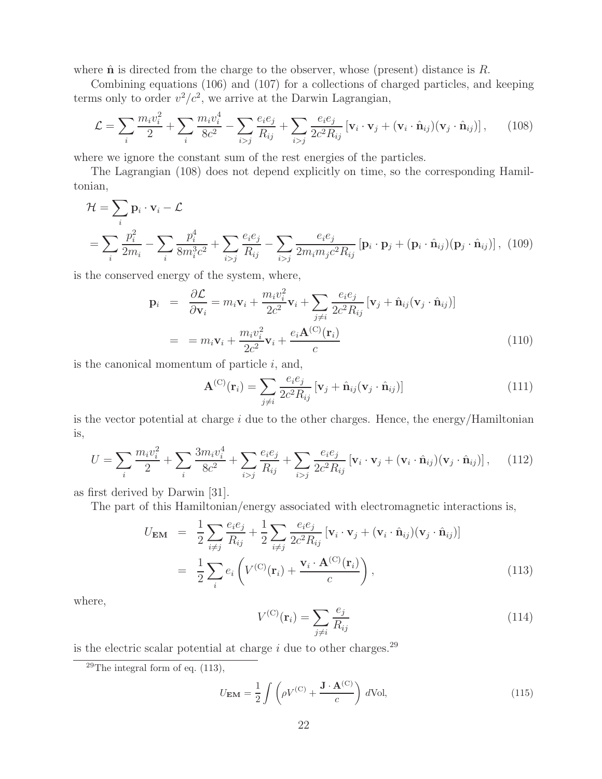where  $\hat{\mathbf{n}}$  is directed from the charge to the observer, whose (present) distance is  $R$ .

Combining equations (106) and (107) for a collections of charged particles, and keeping terms only to order  $v^2/c^2$ , we arrive at the Darwin Lagrangian,

$$
\mathcal{L} = \sum_{i} \frac{m_i v_i^2}{2} + \sum_{i} \frac{m_i v_i^4}{8c^2} - \sum_{i>j} \frac{e_i e_j}{R_{ij}} + \sum_{i>j} \frac{e_i e_j}{2c^2 R_{ij}} \left[ \mathbf{v}_i \cdot \mathbf{v}_j + (\mathbf{v}_i \cdot \hat{\mathbf{n}}_{ij})(\mathbf{v}_j \cdot \hat{\mathbf{n}}_{ij}) \right],
$$
 (108)

where we ignore the constant sum of the rest energies of the particles.

The Lagrangian (108) does not depend explicitly on time, so the corresponding Hamiltonian,

$$
\mathcal{H} = \sum_{i} \mathbf{p}_{i} \cdot \mathbf{v}_{i} - \mathcal{L}
$$

$$
= \sum_{i} \frac{p_{i}^{2}}{2m_{i}} - \sum_{i} \frac{p_{i}^{4}}{8m_{i}^{3}c^{2}} + \sum_{i>j} \frac{e_{i}e_{j}}{R_{ij}} - \sum_{i>j} \frac{e_{i}e_{j}}{2m_{i}m_{j}c^{2}R_{ij}} \left[ \mathbf{p}_{i} \cdot \mathbf{p}_{j} + (\mathbf{p}_{i} \cdot \hat{\mathbf{n}}_{ij})(\mathbf{p}_{j} \cdot \hat{\mathbf{n}}_{ij}) \right], \tag{109}
$$

is the conserved energy of the system, where,

$$
\mathbf{p}_{i} = \frac{\partial \mathcal{L}}{\partial \mathbf{v}_{i}} = m_{i} \mathbf{v}_{i} + \frac{m_{i} v_{i}^{2}}{2c^{2}} \mathbf{v}_{i} + \sum_{j \neq i} \frac{e_{i} e_{j}}{2c^{2} R_{ij}} \left[ \mathbf{v}_{j} + \hat{\mathbf{n}}_{ij} (\mathbf{v}_{j} \cdot \hat{\mathbf{n}}_{ij}) \right]
$$

$$
= m_{i} \mathbf{v}_{i} + \frac{m_{i} v_{i}^{2}}{2c^{2}} \mathbf{v}_{i} + \frac{e_{i} \mathbf{A}^{(C)}(\mathbf{r}_{i})}{c}
$$
(110)

is the canonical momentum of particle  $i$ , and,

$$
\mathbf{A}^{(C)}(\mathbf{r}_i) = \sum_{j \neq i} \frac{e_i e_j}{2c^2 R_{ij}} \left[ \mathbf{v}_j + \hat{\mathbf{n}}_{ij} (\mathbf{v}_j \cdot \hat{\mathbf{n}}_{ij}) \right]
$$
(111)

is the vector potential at charge  $i$  due to the other charges. Hence, the energy/Hamiltonian is,

$$
U = \sum_{i} \frac{m_i v_i^2}{2} + \sum_{i} \frac{3m_i v_i^4}{8c^2} + \sum_{i>j} \frac{e_i e_j}{R_{ij}} + \sum_{i>j} \frac{e_i e_j}{2c^2 R_{ij}} \left[ \mathbf{v}_i \cdot \mathbf{v}_j + (\mathbf{v}_i \cdot \hat{\mathbf{n}}_{ij})(\mathbf{v}_j \cdot \hat{\mathbf{n}}_{ij}) \right], \quad (112)
$$

as first derived by Darwin [31].

The part of this Hamiltonian/energy associated with electromagnetic interactions is,

$$
U_{\mathbf{EM}} = \frac{1}{2} \sum_{i \neq j} \frac{e_i e_j}{R_{ij}} + \frac{1}{2} \sum_{i \neq j} \frac{e_i e_j}{2c^2 R_{ij}} \left[ \mathbf{v}_i \cdot \mathbf{v}_j + (\mathbf{v}_i \cdot \hat{\mathbf{n}}_{ij}) (\mathbf{v}_j \cdot \hat{\mathbf{n}}_{ij}) \right]
$$
  
= 
$$
\frac{1}{2} \sum_i e_i \left( V^{(C)}(\mathbf{r}_i) + \frac{\mathbf{v}_i \cdot \mathbf{A}^{(C)}(\mathbf{r}_i)}{c} \right),
$$
(113)

where,

$$
V^{(C)}(\mathbf{r}_i) = \sum_{j \neq i} \frac{e_j}{R_{ij}} \tag{114}
$$

is the electric scalar potential at charge  $i$  due to other charges.<sup>29</sup>

$$
U_{\rm EM} = \frac{1}{2} \int \left( \rho V^{(C)} + \frac{\mathbf{J} \cdot \mathbf{A}^{(C)}}{c} \right) d\text{Vol},\tag{115}
$$

<sup>&</sup>lt;sup>29</sup>The integral form of eq.  $(113)$ ,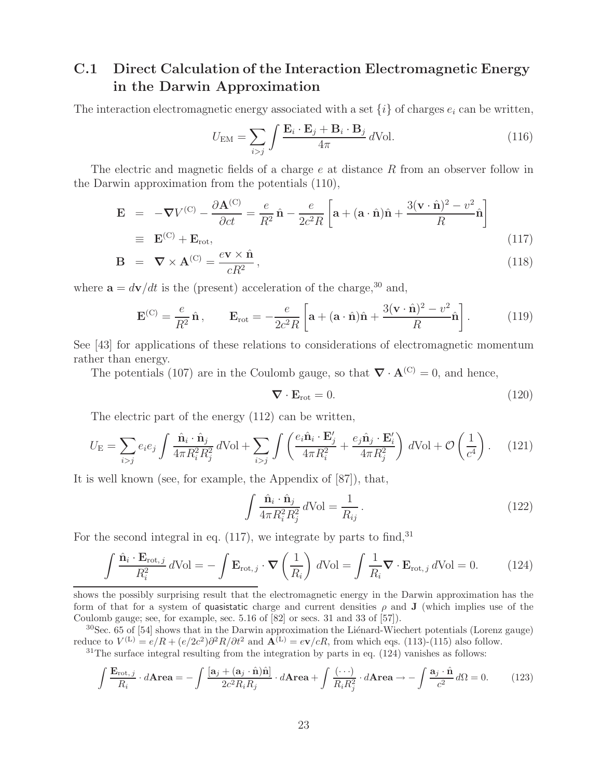## **C.1 Direct Calculation of the Interaction Electromagnetic Energy in the Darwin Approximation**

The interaction electromagnetic energy associated with a set  $\{i\}$  of charges  $e_i$  can be written,

$$
U_{\text{EM}} = \sum_{i>j} \int \frac{\mathbf{E}_i \cdot \mathbf{E}_j + \mathbf{B}_i \cdot \mathbf{B}_j}{4\pi} d\text{Vol}.
$$
 (116)

The electric and magnetic fields of a charge  $e$  at distance  $R$  from an observer follow in the Darwin approximation from the potentials (110),

$$
\mathbf{E} = -\nabla V^{(C)} - \frac{\partial \mathbf{A}^{(C)}}{\partial ct} = \frac{e}{R^2} \hat{\mathbf{n}} - \frac{e}{2c^2 R} \left[ \mathbf{a} + (\mathbf{a} \cdot \hat{\mathbf{n}}) \hat{\mathbf{n}} + \frac{3(\mathbf{v} \cdot \hat{\mathbf{n}})^2 - v^2}{R} \hat{\mathbf{n}} \right]
$$
  
\n
$$
\equiv \mathbf{E}^{(C)} + \mathbf{E}_{\text{rot}}, \qquad (117)
$$

$$
\mathbf{B} = \nabla \times \mathbf{A}^{(C)} = \frac{e \mathbf{v} \times \hat{\mathbf{n}}}{cR^2},
$$
\n(118)

where  $\mathbf{a} = d\mathbf{v}/dt$  is the (present) acceleration of the charge,<sup>30</sup> and,

$$
\mathbf{E}^{(\text{C})} = \frac{e}{R^2} \hat{\mathbf{n}}, \qquad \mathbf{E}_{\text{rot}} = -\frac{e}{2c^2 R} \left[ \mathbf{a} + (\mathbf{a} \cdot \hat{\mathbf{n}}) \hat{\mathbf{n}} + \frac{3(\mathbf{v} \cdot \hat{\mathbf{n}})^2 - v^2}{R} \hat{\mathbf{n}} \right]. \tag{119}
$$

See [43] for applications of these relations to considerations of electromagnetic momentum rather than energy.

The potentials (107) are in the Coulomb gauge, so that  $\nabla \cdot \mathbf{A}^{(C)} = 0$ , and hence,

$$
\nabla \cdot \mathbf{E}_{\text{rot}} = 0. \tag{120}
$$

The electric part of the energy (112) can be written,

$$
U_{\rm E} = \sum_{i>j} e_i e_j \int \frac{\hat{\mathbf{n}}_i \cdot \hat{\mathbf{n}}_j}{4\pi R_i^2 R_j^2} d\text{Vol} + \sum_{i>j} \int \left( \frac{e_i \hat{\mathbf{n}}_i \cdot \mathbf{E}'_j}{4\pi R_i^2} + \frac{e_j \hat{\mathbf{n}}_j \cdot \mathbf{E}'_i}{4\pi R_j^2} \right) d\text{Vol} + \mathcal{O}\left(\frac{1}{c^4}\right). \tag{121}
$$

It is well known (see, for example, the Appendix of [87]), that,

$$
\int \frac{\hat{\mathbf{n}}_i \cdot \hat{\mathbf{n}}_j}{4\pi R_i^2 R_j^2} d\text{Vol} = \frac{1}{R_{ij}}.
$$
\n(122)

For the second integral in eq.  $(117)$ , we integrate by parts to find, <sup>31</sup>

$$
\underline{\int \frac{\hat{\mathbf{n}}_i \cdot \mathbf{E}_{\text{rot},j}}{R_i^2} d\text{Vol} = -\int \mathbf{E}_{\text{rot},j} \cdot \nabla \left(\frac{1}{R_i}\right) d\text{Vol} = \int \frac{1}{R_i} \nabla \cdot \mathbf{E}_{\text{rot},j} d\text{Vol} = 0.}
$$
 (124)

shows the possibly surprising result that the electromagnetic energy in the Darwin approximation has the form of that for a system of quasistatic charge and current densities  $\rho$  and **J** (which implies use of the Coulomb gauge; see, for example, sec. 5.16 of [82] or secs. 31 and 33 of [57]).

 $30$ Sec. 65 of [54] shows that in the Darwin approximation the Liénard-Wiechert potentials (Lorenz gauge) reduce to  $V^{(L)} = e/R + (e/2c^2)\partial^2 R/\partial t^2$  and  $\mathbf{A}^{(L)} = e\mathbf{v}/cR$ , from which eqs. (113)-(115) also follow.

 $31$ The surface integral resulting from the integration by parts in eq. (124) vanishes as follows:

$$
\int \frac{\mathbf{E}_{\text{rot},j}}{R_i} \cdot d\mathbf{Area} = -\int \frac{[\mathbf{a}_j + (\mathbf{a}_j \cdot \hat{\mathbf{n}})\hat{\mathbf{n}}]}{2c^2 R_i R_j} \cdot d\mathbf{Area} + \int \frac{(\cdots)}{R_i R_j^2} \cdot d\mathbf{Area} \to -\int \frac{\mathbf{a}_j \cdot \hat{\mathbf{n}}}{c^2} d\Omega = 0.
$$
 (123)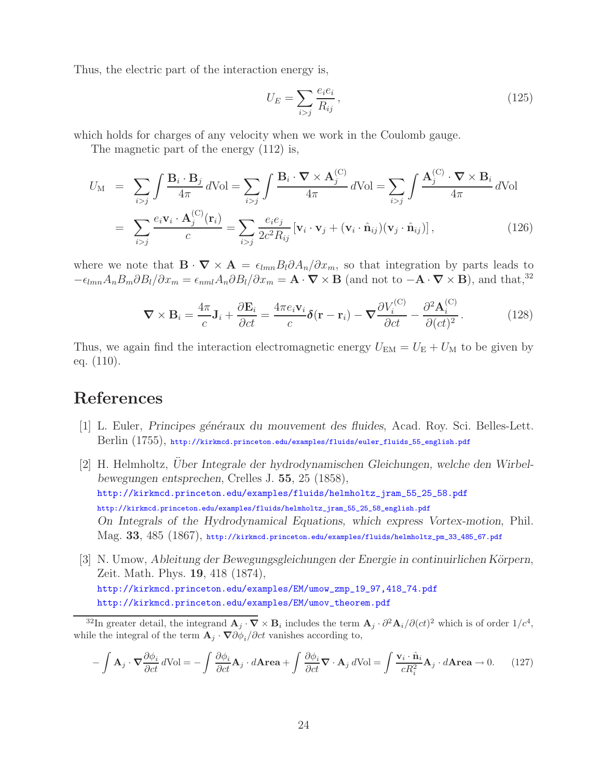Thus, the electric part of the interaction energy is,

$$
U_E = \sum_{i>j} \frac{e_i e_i}{R_{ij}},\tag{125}
$$

which holds for charges of any velocity when we work in the Coulomb gauge.

The magnetic part of the energy (112) is,

$$
U_{\rm M} = \sum_{i>j} \int \frac{\mathbf{B}_i \cdot \mathbf{B}_j}{4\pi} d\text{Vol} = \sum_{i>j} \int \frac{\mathbf{B}_i \cdot \nabla \times \mathbf{A}_j^{(C)}}{4\pi} d\text{Vol} = \sum_{i>j} \int \frac{\mathbf{A}_j^{(C)} \cdot \nabla \times \mathbf{B}_i}{4\pi} d\text{Vol}
$$

$$
= \sum_{i>j} \frac{e_i \mathbf{v}_i \cdot \mathbf{A}_j^{(C)}(\mathbf{r}_i)}{c} = \sum_{i>j} \frac{e_i e_j}{2c^2 R_{ij}} [\mathbf{v}_i \cdot \mathbf{v}_j + (\mathbf{v}_i \cdot \hat{\mathbf{n}}_{ij})(\mathbf{v}_j \cdot \hat{\mathbf{n}}_{ij})], \qquad (126)
$$

where we note that  $\mathbf{B} \cdot \nabla \times \mathbf{A} = \epsilon_{lmn} B_l \partial A_n / \partial x_m$ , so that integration by parts leads to  $-\epsilon_{lmn}A_nB_m\partial B_l/\partial x_m = \epsilon_{nml}A_n\partial B_l/\partial x_m = \mathbf{A}\cdot\mathbf{\nabla}\times\mathbf{B}$  (and not to  $-\mathbf{A}\cdot\mathbf{\nabla}\times\mathbf{B}$ ), and that,<sup>32</sup>

$$
\nabla \times \mathbf{B}_i = \frac{4\pi}{c} \mathbf{J}_i + \frac{\partial \mathbf{E}_i}{\partial ct} = \frac{4\pi e_i \mathbf{v}_i}{c} \delta(\mathbf{r} - \mathbf{r}_i) - \nabla \frac{\partial V_i^{(C)}}{\partial ct} - \frac{\partial^2 \mathbf{A}_i^{(C)}}{\partial (ct)^2}.
$$
 (128)

Thus, we again find the interaction electromagnetic energy  $U_{EM} = U_E + U_M$  to be given by eq. (110).

# **References**

- [1] L. Euler, *Principes généraux du mouvement des fluides*, Acad. Roy. Sci. Belles-Lett. Berlin (1755), http://kirkmcd.princeton.edu/examples/fluids/euler\_fluids\_55\_english.pdf
- [2] H. Helmholtz, *Uber Integrale der hydrodynamischen Gleichungen, welche den Wirbel- ¨ bewegungen entsprechen*, Crelles J. **55**, 25 (1858), http://kirkmcd.princeton.edu/examples/fluids/helmholtz\_jram\_55\_25\_58.pdf http://kirkmcd.princeton.edu/examples/fluids/helmholtz\_jram\_55\_25\_58\_english.pdf *On Integrals of the Hydrodynamical Equations, which express Vortex-motion*, Phil. Mag. **33**, 485 (1867), http://kirkmcd.princeton.edu/examples/fluids/helmholtz\_pm\_33\_485\_67.pdf
- [3] N. Umow, *Ableitung der Bewegungsgleichungen der Energie in continuirlichen Körpern*, Zeit. Math. Phys. **19**, 418 (1874), http://kirkmcd.princeton.edu/examples/EM/umow\_zmp\_19\_97,418\_74.pdf http://kirkmcd.princeton.edu/examples/EM/umov\_theorem.pdf

<sup>32</sup>In greater detail, the integrand  $\mathbf{A}_i \cdot \nabla \times \mathbf{B}_i$  includes the term  $\mathbf{A}_i \cdot \partial^2 \mathbf{A}_i / \partial (ct)^2$  which is of order  $1/c^4$ , while the integral of the term  $\mathbf{A}_j \cdot \nabla \partial \phi_i / \partial ct$  vanishes according to,

$$
-\int \mathbf{A}_{j} \cdot \nabla \frac{\partial \phi_{i}}{\partial ct} d\text{Vol} = -\int \frac{\partial \phi_{i}}{\partial ct} \mathbf{A}_{j} \cdot d\mathbf{Area} + \int \frac{\partial \phi_{i}}{\partial ct} \nabla \cdot \mathbf{A}_{j} d\text{Vol} = \int \frac{\mathbf{v}_{i} \cdot \hat{\mathbf{n}}_{i}}{cR_{i}^{2}} \mathbf{A}_{j} \cdot d\mathbf{Area} \to 0. \tag{127}
$$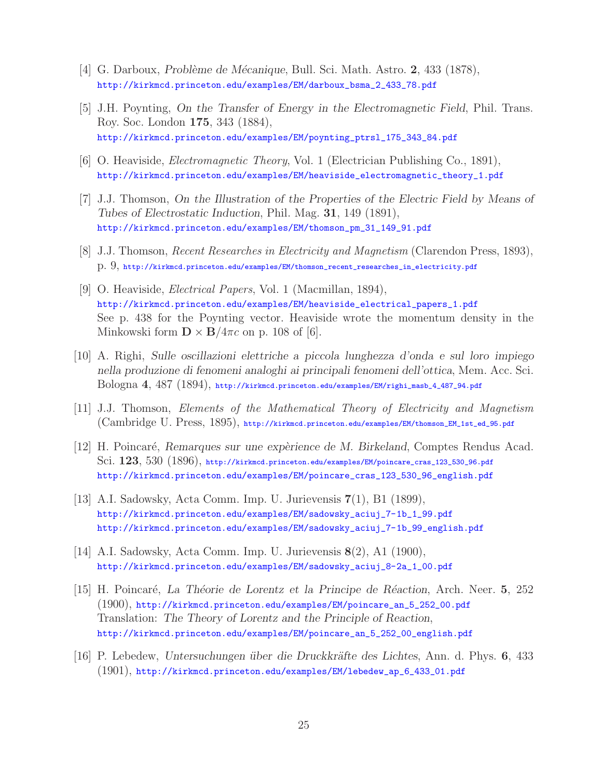- [4] G. Darboux, *Probl`eme de M´ecanique*, Bull. Sci. Math. Astro. **2**, 433 (1878), http://kirkmcd.princeton.edu/examples/EM/darboux\_bsma\_2\_433\_78.pdf
- [5] J.H. Poynting, *On the Transfer of Energy in the Electromagnetic Field*, Phil. Trans. Roy. Soc. London **175**, 343 (1884), http://kirkmcd.princeton.edu/examples/EM/poynting\_ptrsl\_175\_343\_84.pdf
- [6] O. Heaviside, *Electromagnetic Theory*, Vol. 1 (Electrician Publishing Co., 1891), http://kirkmcd.princeton.edu/examples/EM/heaviside\_electromagnetic\_theory\_1.pdf
- [7] J.J. Thomson, *On the Illustration of the Properties of the Electric Field by Means of Tubes of Electrostatic Induction*, Phil. Mag. **31**, 149 (1891), http://kirkmcd.princeton.edu/examples/EM/thomson\_pm\_31\_149\_91.pdf
- [8] J.J. Thomson, *Recent Researches in Electricity and Magnetism* (Clarendon Press, 1893), p. 9, http://kirkmcd.princeton.edu/examples/EM/thomson\_recent\_researches\_in\_electricity.pdf
- [9] O. Heaviside, *Electrical Papers*, Vol. 1 (Macmillan, 1894), http://kirkmcd.princeton.edu/examples/EM/heaviside\_electrical\_papers\_1.pdf See p. 438 for the Poynting vector. Heaviside wrote the momentum density in the Minkowski form  $\mathbf{D} \times \mathbf{B}/4\pi c$  on p. 108 of [6].
- [10] A. Righi, *Sulle oscillazioni elettriche a piccola lunghezza d'onda e sul loro impiego nella produzione di fenomeni analoghi ai principali fenomeni dell'ottica*, Mem. Acc. Sci. Bologna **4**, 487 (1894), http://kirkmcd.princeton.edu/examples/EM/righi\_masb\_4\_487\_94.pdf
- [11] J.J. Thomson, *Elements of the Mathematical Theory of Electricity and Magnetism* (Cambridge U. Press, 1895), http://kirkmcd.princeton.edu/examples/EM/thomson\_EM\_1st\_ed\_95.pdf
- [12] H. Poincar´e, *Remarques sur une exp`erience de M. Birkeland*, Comptes Rendus Acad. Sci. **123**, 530 (1896), http://kirkmcd.princeton.edu/examples/EM/poincare\_cras\_123\_530\_96.pdf http://kirkmcd.princeton.edu/examples/EM/poincare\_cras\_123\_530\_96\_english.pdf
- [13] A.I. Sadowsky, Acta Comm. Imp. U. Jurievensis **7**(1), B1 (1899), http://kirkmcd.princeton.edu/examples/EM/sadowsky\_aciuj\_7-1b\_1\_99.pdf http://kirkmcd.princeton.edu/examples/EM/sadowsky\_aciuj\_7-1b\_99\_english.pdf
- [14] A.I. Sadowsky, Acta Comm. Imp. U. Jurievensis **8**(2), A1 (1900), http://kirkmcd.princeton.edu/examples/EM/sadowsky\_aciuj\_8-2a\_1\_00.pdf
- [15] H. Poincar´e, *La Th´eorie de Lorentz et la Principe de R´eaction*, Arch. Neer. **5**, 252 (1900), http://kirkmcd.princeton.edu/examples/EM/poincare\_an\_5\_252\_00.pdf Translation: *The Theory of Lorentz and the Principle of Reaction*, http://kirkmcd.princeton.edu/examples/EM/poincare\_an\_5\_252\_00\_english.pdf
- [16] P. Lebedew, *Untersuchungen ¨uber die Druckkr¨afte des Lichtes*, Ann. d. Phys. **6**, 433 (1901), http://kirkmcd.princeton.edu/examples/EM/lebedew\_ap\_6\_433\_01.pdf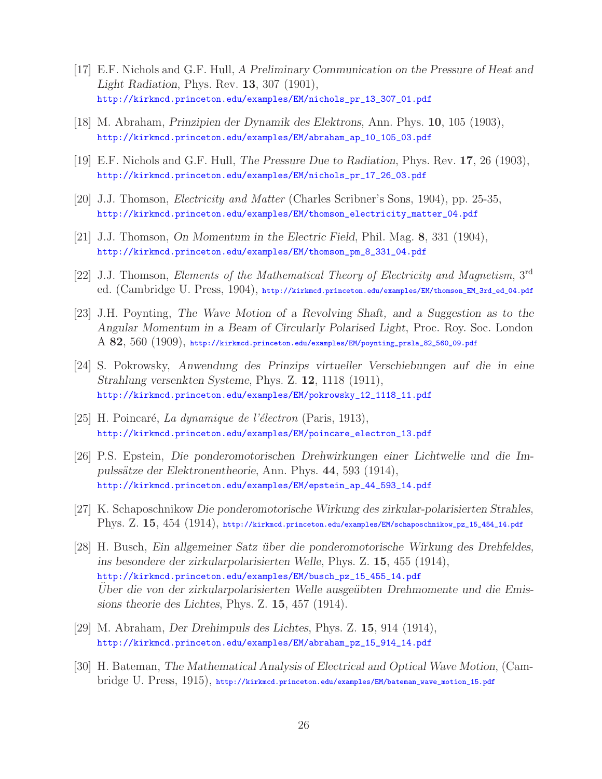- [17] E.F. Nichols and G.F. Hull, *A Preliminary Communication on the Pressure of Heat and Light Radiation*, Phys. Rev. **13**, 307 (1901), http://kirkmcd.princeton.edu/examples/EM/nichols\_pr\_13\_307\_01.pdf
- [18] M. Abraham, *Prinzipien der Dynamik des Elektrons*, Ann. Phys. **10**, 105 (1903), http://kirkmcd.princeton.edu/examples/EM/abraham\_ap\_10\_105\_03.pdf
- [19] E.F. Nichols and G.F. Hull, *The Pressure Due to Radiation*, Phys. Rev. **17**, 26 (1903), http://kirkmcd.princeton.edu/examples/EM/nichols\_pr\_17\_26\_03.pdf
- [20] J.J. Thomson, *Electricity and Matter* (Charles Scribner's Sons, 1904), pp. 25-35, http://kirkmcd.princeton.edu/examples/EM/thomson\_electricity\_matter\_04.pdf
- [21] J.J. Thomson, *On Momentum in the Electric Field*, Phil. Mag. **8**, 331 (1904), http://kirkmcd.princeton.edu/examples/EM/thomson\_pm\_8\_331\_04.pdf
- [22] J.J. Thomson, *Elements of the Mathematical Theory of Electricity and Magnetism*, 3rd ed. (Cambridge U. Press, 1904), http://kirkmcd.princeton.edu/examples/EM/thomson\_EM\_3rd\_ed\_04.pdf
- [23] J.H. Poynting, *The Wave Motion of a Revolving Shaft, and a Suggestion as to the Angular Momentum in a Beam of Circularly Polarised Light*, Proc. Roy. Soc. London A **82**, 560 (1909), http://kirkmcd.princeton.edu/examples/EM/poynting\_prsla\_82\_560\_09.pdf
- [24] S. Pokrowsky, *Anwendung des Prinzips virtueller Verschiebungen auf die in eine Strahlung versenkten Systeme*, Phys. Z. **12**, 1118 (1911), http://kirkmcd.princeton.edu/examples/EM/pokrowsky\_12\_1118\_11.pdf
- [25] H. Poincaré, *La dynamique de l'électron* (Paris, 1913), http://kirkmcd.princeton.edu/examples/EM/poincare\_electron\_13.pdf
- [26] P.S. Epstein, *Die ponderomotorischen Drehwirkungen einer Lichtwelle und die Impulss¨atze der Elektronentheorie*, Ann. Phys. **44**, 593 (1914), http://kirkmcd.princeton.edu/examples/EM/epstein\_ap\_44\_593\_14.pdf
- [27] K. Schaposchnikow *Die ponderomotorische Wirkung des zirkular-polarisierten Strahles*, Phys. Z. **15**, 454 (1914), http://kirkmcd.princeton.edu/examples/EM/schaposchnikow\_pz\_15\_454\_14.pdf
- [28] H. Busch, *Ein allgemeiner Satz ¨uber die ponderomotorische Wirkung des Drehfeldes, ins besondere der zirkularpolarisierten Welle*, Phys. Z. **15**, 455 (1914), http://kirkmcd.princeton.edu/examples/EM/busch\_pz\_15\_455\_14.pdf Uber die von der zirkularpolarisierten Welle ausgeübten Drehmomente und die Emis*sions theorie des Lichtes*, Phys. Z. **15**, 457 (1914).
- [29] M. Abraham, *Der Drehimpuls des Lichtes*, Phys. Z. **15**, 914 (1914), http://kirkmcd.princeton.edu/examples/EM/abraham\_pz\_15\_914\_14.pdf
- [30] H. Bateman, *The Mathematical Analysis of Electrical and Optical Wave Motion*, (Cambridge U. Press, 1915), http://kirkmcd.princeton.edu/examples/EM/bateman\_wave\_motion\_15.pdf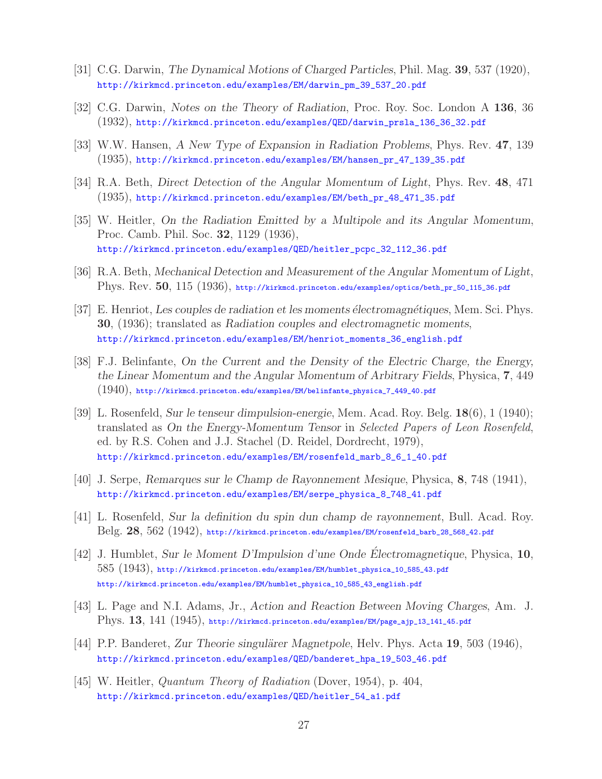- [31] C.G. Darwin, *The Dynamical Motions of Charged Particles*, Phil. Mag. **39**, 537 (1920), http://kirkmcd.princeton.edu/examples/EM/darwin\_pm\_39\_537\_20.pdf
- [32] C.G. Darwin, *Notes on the Theory of Radiation*, Proc. Roy. Soc. London A **136**, 36 (1932), http://kirkmcd.princeton.edu/examples/QED/darwin\_prsla\_136\_36\_32.pdf
- [33] W.W. Hansen, *A New Type of Expansion in Radiation Problems*, Phys. Rev. **47**, 139 (1935), http://kirkmcd.princeton.edu/examples/EM/hansen\_pr\_47\_139\_35.pdf
- [34] R.A. Beth, *Direct Detection of the Angular Momentum of Light*, Phys. Rev. **48**, 471 (1935), http://kirkmcd.princeton.edu/examples/EM/beth\_pr\_48\_471\_35.pdf
- [35] W. Heitler, *On the Radiation Emitted by a Multipole and its Angular Momentum*, Proc. Camb. Phil. Soc. **32**, 1129 (1936), http://kirkmcd.princeton.edu/examples/QED/heitler\_pcpc\_32\_112\_36.pdf
- [36] R.A. Beth, *Mechanical Detection and Measurement of the Angular Momentum of Light*, Phys. Rev. **50**, 115 (1936), http://kirkmcd.princeton.edu/examples/optics/beth\_pr\_50\_115\_36.pdf
- [37] E. Henriot, *Les couples de radiation et les moments ´electromagn´etiques*, Mem. Sci. Phys. **30**, (1936); translated as *Radiation couples and electromagnetic moments*, http://kirkmcd.princeton.edu/examples/EM/henriot\_moments\_36\_english.pdf
- [38] F.J. Belinfante, *On the Current and the Density of the Electric Charge, the Energy, the Linear Momentum and the Angular Momentum of Arbitrary Fields*, Physica, **7**, 449 (1940), http://kirkmcd.princeton.edu/examples/EM/belinfante\_physica\_7\_449\_40.pdf
- [39] L. Rosenfeld, *Sur le tenseur dimpulsion-energie*, Mem. Acad. Roy. Belg. **18**(6), 1 (1940); translated as *On the Energy-Momentum Tensor* in *Selected Papers of Leon Rosenfeld*, ed. by R.S. Cohen and J.J. Stachel (D. Reidel, Dordrecht, 1979), http://kirkmcd.princeton.edu/examples/EM/rosenfeld\_marb\_8\_6\_1\_40.pdf
- [40] J. Serpe, *Remarques sur le Champ de Rayonnement Mesique*, Physica, **8**, 748 (1941), http://kirkmcd.princeton.edu/examples/EM/serpe\_physica\_8\_748\_41.pdf
- [41] L. Rosenfeld, *Sur la definition du spin dun champ de rayonnement*, Bull. Acad. Roy. Belg. **28**, 562 (1942), http://kirkmcd.princeton.edu/examples/EM/rosenfeld\_barb\_28\_568\_42.pdf
- [42] J. Humblet, *Sur le Moment D'Impulsion d'une Onde Electromagnetique ´* , Physica, **10**, 585 (1943), http://kirkmcd.princeton.edu/examples/EM/humblet\_physica\_10\_585\_43.pdf http://kirkmcd.princeton.edu/examples/EM/humblet\_physica\_10\_585\_43\_english.pdf
- [43] L. Page and N.I. Adams, Jr., *Action and Reaction Between Moving Charges*, Am. J. Phys. **13**, 141 (1945), http://kirkmcd.princeton.edu/examples/EM/page\_ajp\_13\_141\_45.pdf
- [44] P.P. Banderet, *Zur Theorie singulärer Magnetpole*, Helv. Phys. Acta 19, 503 (1946), http://kirkmcd.princeton.edu/examples/QED/banderet\_hpa\_19\_503\_46.pdf
- [45] W. Heitler, *Quantum Theory of Radiation* (Dover, 1954), p. 404, http://kirkmcd.princeton.edu/examples/QED/heitler\_54\_a1.pdf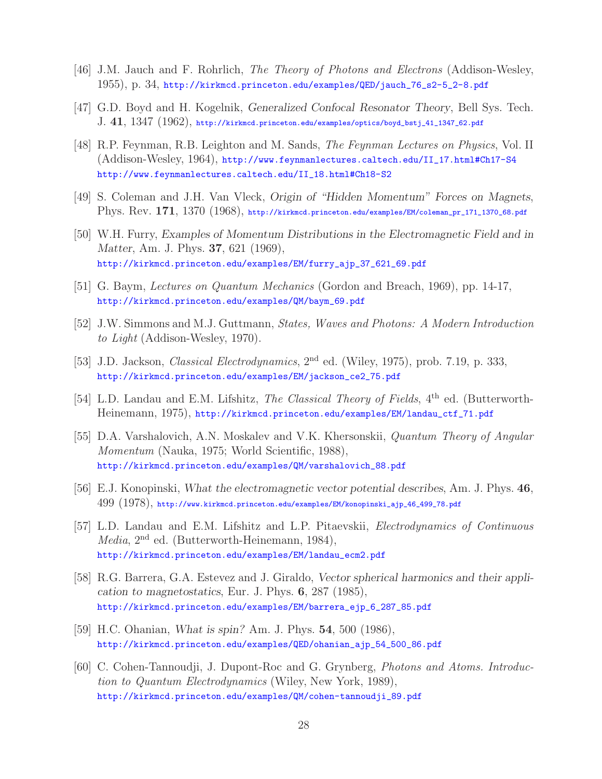- [46] J.M. Jauch and F. Rohrlich, *The Theory of Photons and Electrons* (Addison-Wesley, 1955), p. 34, http://kirkmcd.princeton.edu/examples/QED/jauch\_76\_s2-5\_2-8.pdf
- [47] G.D. Boyd and H. Kogelnik, *Generalized Confocal Resonator Theory*, Bell Sys. Tech. J. **41**, 1347 (1962), http://kirkmcd.princeton.edu/examples/optics/boyd\_bstj\_41\_1347\_62.pdf
- [48] R.P. Feynman, R.B. Leighton and M. Sands, *The Feynman Lectures on Physics*, Vol. II (Addison-Wesley, 1964), http://www.feynmanlectures.caltech.edu/II\_17.html#Ch17-S4 http://www.feynmanlectures.caltech.edu/II\_18.html#Ch18-S2
- [49] S. Coleman and J.H. Van Vleck, *Origin of "Hidden Momentum" Forces on Magnets*, Phys. Rev. **171**, 1370 (1968), http://kirkmcd.princeton.edu/examples/EM/coleman\_pr\_171\_1370\_68.pdf
- [50] W.H. Furry, *Examples of Momentum Distributions in the Electromagnetic Field and in Matter*, Am. J. Phys. **37**, 621 (1969), http://kirkmcd.princeton.edu/examples/EM/furry\_ajp\_37\_621\_69.pdf
- [51] G. Baym, *Lectures on Quantum Mechanics* (Gordon and Breach, 1969), pp. 14-17, http://kirkmcd.princeton.edu/examples/QM/baym\_69.pdf
- [52] J.W. Simmons and M.J. Guttmann, *States, Waves and Photons: A Modern Introduction to Light* (Addison-Wesley, 1970).
- [53] J.D. Jackson, *Classical Electrodynamics*, 2nd ed. (Wiley, 1975), prob. 7.19, p. 333, http://kirkmcd.princeton.edu/examples/EM/jackson\_ce2\_75.pdf
- [54] L.D. Landau and E.M. Lifshitz, *The Classical Theory of Fields*, 4<sup>th</sup> ed. (Butterworth-Heinemann, 1975), http://kirkmcd.princeton.edu/examples/EM/landau\_ctf\_71.pdf
- [55] D.A. Varshalovich, A.N. Moskalev and V.K. Khersonskii, *Quantum Theory of Angular Momentum* (Nauka, 1975; World Scientific, 1988), http://kirkmcd.princeton.edu/examples/QM/varshalovich\_88.pdf
- [56] E.J. Konopinski, *What the electromagnetic vector potential describes*, Am. J. Phys. **46**, 499 (1978), http://www.kirkmcd.princeton.edu/examples/EM/konopinski\_ajp\_46\_499\_78.pdf
- [57] L.D. Landau and E.M. Lifshitz and L.P. Pitaevskii, *Electrodynamics of Continuous Media*, 2nd ed. (Butterworth-Heinemann, 1984), http://kirkmcd.princeton.edu/examples/EM/landau\_ecm2.pdf
- [58] R.G. Barrera, G.A. Estevez and J. Giraldo, *Vector spherical harmonics and their application to magnetostatics*, Eur. J. Phys. **6**, 287 (1985), http://kirkmcd.princeton.edu/examples/EM/barrera\_ejp\_6\_287\_85.pdf
- [59] H.C. Ohanian, *What is spin?* Am. J. Phys. **54**, 500 (1986), http://kirkmcd.princeton.edu/examples/QED/ohanian\_ajp\_54\_500\_86.pdf
- [60] C. Cohen-Tannoudji, J. Dupont-Roc and G. Grynberg, *Photons and Atoms. Introduction to Quantum Electrodynamics* (Wiley, New York, 1989), http://kirkmcd.princeton.edu/examples/QM/cohen-tannoudji\_89.pdf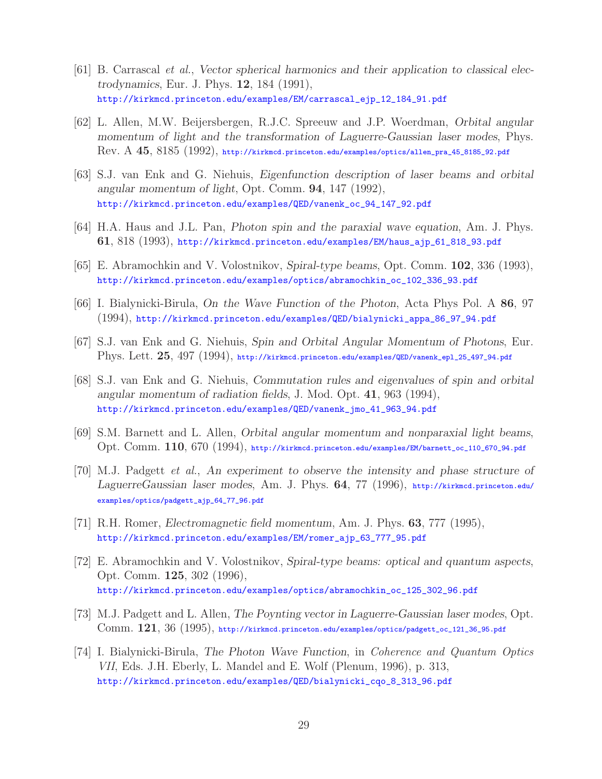- [61] B. Carrascal *et al.*, *Vector spherical harmonics and their application to classical electrodynamics*, Eur. J. Phys. **12**, 184 (1991), http://kirkmcd.princeton.edu/examples/EM/carrascal\_ejp\_12\_184\_91.pdf
- [62] L. Allen, M.W. Beijersbergen, R.J.C. Spreeuw and J.P. Woerdman, *Orbital angular momentum of light and the transformation of Laguerre-Gaussian laser modes*, Phys. Rev. A **45**, 8185 (1992), http://kirkmcd.princeton.edu/examples/optics/allen\_pra\_45\_8185\_92.pdf
- [63] S.J. van Enk and G. Niehuis, *Eigenfunction description of laser beams and orbital angular momentum of light*, Opt. Comm. **94**, 147 (1992), http://kirkmcd.princeton.edu/examples/QED/vanenk\_oc\_94\_147\_92.pdf
- [64] H.A. Haus and J.L. Pan, *Photon spin and the paraxial wave equation*, Am. J. Phys. **61**, 818 (1993), http://kirkmcd.princeton.edu/examples/EM/haus\_ajp\_61\_818\_93.pdf
- [65] E. Abramochkin and V. Volostnikov, *Spiral-type beams*, Opt. Comm. **102**, 336 (1993), http://kirkmcd.princeton.edu/examples/optics/abramochkin\_oc\_102\_336\_93.pdf
- [66] I. Bialynicki-Birula, *On the Wave Function of the Photon*, Acta Phys Pol. A **86**, 97 (1994), http://kirkmcd.princeton.edu/examples/QED/bialynicki\_appa\_86\_97\_94.pdf
- [67] S.J. van Enk and G. Niehuis, *Spin and Orbital Angular Momentum of Photons*, Eur. Phys. Lett. **25**, 497 (1994), http://kirkmcd.princeton.edu/examples/QED/vanenk\_epl\_25\_497\_94.pdf
- [68] S.J. van Enk and G. Niehuis, *Commutation rules and eigenvalues of spin and orbital angular momentum of radiation fields*, J. Mod. Opt. **41**, 963 (1994), http://kirkmcd.princeton.edu/examples/QED/vanenk\_jmo\_41\_963\_94.pdf
- [69] S.M. Barnett and L. Allen, *Orbital angular momentum and nonparaxial light beams*, Opt. Comm. **110**, 670 (1994), http://kirkmcd.princeton.edu/examples/EM/barnett\_oc\_110\_670\_94.pdf
- [70] M.J. Padgett *et al.*, *An experiment to observe the intensity and phase structure of LaguerreGaussian laser modes*, Am. J. Phys. **64**, 77 (1996), http://kirkmcd.princeton.edu/ examples/optics/padgett\_ajp\_64\_77\_96.pdf
- [71] R.H. Romer, *Electromagnetic field momentum*, Am. J. Phys. **63**, 777 (1995), http://kirkmcd.princeton.edu/examples/EM/romer\_ajp\_63\_777\_95.pdf
- [72] E. Abramochkin and V. Volostnikov, *Spiral-type beams: optical and quantum aspects*, Opt. Comm. **125**, 302 (1996), http://kirkmcd.princeton.edu/examples/optics/abramochkin\_oc\_125\_302\_96.pdf
- [73] M.J. Padgett and L. Allen, *The Poynting vector in Laguerre-Gaussian laser modes*, Opt. Comm. **121**, 36 (1995), http://kirkmcd.princeton.edu/examples/optics/padgett\_oc\_121\_36\_95.pdf
- [74] I. Bialynicki-Birula, *The Photon Wave Function*, in *Coherence and Quantum Optics VII*, Eds. J.H. Eberly, L. Mandel and E. Wolf (Plenum, 1996), p. 313, http://kirkmcd.princeton.edu/examples/QED/bialynicki\_cqo\_8\_313\_96.pdf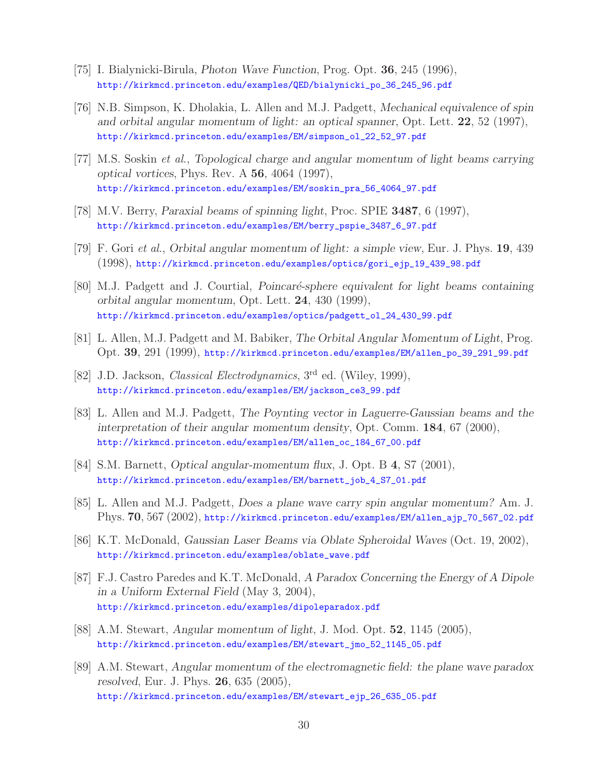- [75] I. Bialynicki-Birula, *Photon Wave Function*, Prog. Opt. **36**, 245 (1996), http://kirkmcd.princeton.edu/examples/QED/bialynicki\_po\_36\_245\_96.pdf
- [76] N.B. Simpson, K. Dholakia, L. Allen and M.J. Padgett, *Mechanical equivalence of spin and orbital angular momentum of light: an optical spanner*, Opt. Lett. **22**, 52 (1997), http://kirkmcd.princeton.edu/examples/EM/simpson\_ol\_22\_52\_97.pdf
- [77] M.S. Soskin *et al.*, *Topological charge and angular momentum of light beams carrying optical vortices*, Phys. Rev. A **56**, 4064 (1997), http://kirkmcd.princeton.edu/examples/EM/soskin\_pra\_56\_4064\_97.pdf
- [78] M.V. Berry, *Paraxial beams of spinning light*, Proc. SPIE **3487**, 6 (1997), http://kirkmcd.princeton.edu/examples/EM/berry\_pspie\_3487\_6\_97.pdf
- [79] F. Gori *et al.*, *Orbital angular momentum of light: a simple view*, Eur. J. Phys. **19**, 439 (1998), http://kirkmcd.princeton.edu/examples/optics/gori\_ejp\_19\_439\_98.pdf
- [80] M.J. Padgett and J. Courtial, *Poincaré-sphere equivalent for light beams containing orbital angular momentum*, Opt. Lett. **24**, 430 (1999), http://kirkmcd.princeton.edu/examples/optics/padgett\_ol\_24\_430\_99.pdf
- [81] L. Allen, M.J. Padgett and M. Babiker, *The Orbital Angular Momentum of Light*, Prog. Opt. **39**, 291 (1999), http://kirkmcd.princeton.edu/examples/EM/allen\_po\_39\_291\_99.pdf
- [82] J.D. Jackson, *Classical Electrodynamics*, 3rd ed. (Wiley, 1999), http://kirkmcd.princeton.edu/examples/EM/jackson\_ce3\_99.pdf
- [83] L. Allen and M.J. Padgett, *The Poynting vector in Laguerre-Gaussian beams and the interpretation of their angular momentum density*, Opt. Comm. **184**, 67 (2000), http://kirkmcd.princeton.edu/examples/EM/allen\_oc\_184\_67\_00.pdf
- [84] S.M. Barnett, *Optical angular-momentum flux*, J. Opt. B **4**, S7 (2001), http://kirkmcd.princeton.edu/examples/EM/barnett\_job\_4\_S7\_01.pdf
- [85] L. Allen and M.J. Padgett, *Does a plane wave carry spin angular momentum?* Am. J. Phys. **70**, 567 (2002), http://kirkmcd.princeton.edu/examples/EM/allen\_ajp\_70\_567\_02.pdf
- [86] K.T. McDonald, *Gaussian Laser Beams via Oblate Spheroidal Waves* (Oct. 19, 2002), http://kirkmcd.princeton.edu/examples/oblate\_wave.pdf
- [87] F.J. Castro Paredes and K.T. McDonald, *A Paradox Concerning the Energy of A Dipole in a Uniform External Field* (May 3, 2004), http://kirkmcd.princeton.edu/examples/dipoleparadox.pdf
- [88] A.M. Stewart, *Angular momentum of light*, J. Mod. Opt. **52**, 1145 (2005), http://kirkmcd.princeton.edu/examples/EM/stewart\_jmo\_52\_1145\_05.pdf
- [89] A.M. Stewart, *Angular momentum of the electromagnetic field: the plane wave paradox resolved*, Eur. J. Phys. **26**, 635 (2005), http://kirkmcd.princeton.edu/examples/EM/stewart\_ejp\_26\_635\_05.pdf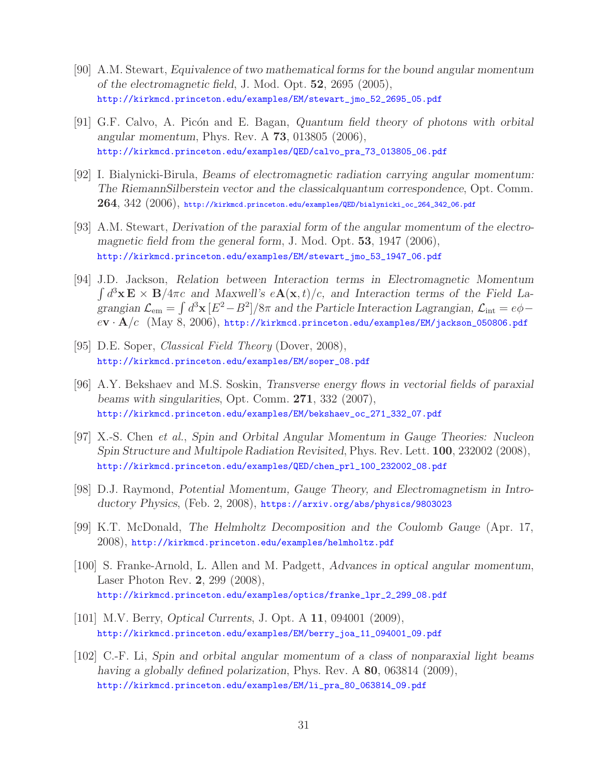- [90] A.M. Stewart, *Equivalence of two mathematical forms for the bound angular momentum of the electromagnetic field*, J. Mod. Opt. **52**, 2695 (2005), http://kirkmcd.princeton.edu/examples/EM/stewart\_jmo\_52\_2695\_05.pdf
- [91] G.F. Calvo, A. Pic´on and E. Bagan, *Quantum field theory of photons with orbital angular momentum*, Phys. Rev. A **73**, 013805 (2006), http://kirkmcd.princeton.edu/examples/QED/calvo\_pra\_73\_013805\_06.pdf
- [92] I. Bialynicki-Birula, *Beams of electromagnetic radiation carrying angular momentum: The RiemannSilberstein vector and the classicalquantum correspondence*, Opt. Comm. **264**, 342 (2006), http://kirkmcd.princeton.edu/examples/QED/bialynicki\_oc\_264\_342\_06.pdf
- [93] A.M. Stewart, *Derivation of the paraxial form of the angular momentum of the electromagnetic field from the general form*, J. Mod. Opt. **53**, 1947 (2006), http://kirkmcd.princeton.edu/examples/EM/stewart\_jmo\_53\_1947\_06.pdf
- [94] J.D. Jackson, *Relation between Interaction terms in Electromagnetic Momentum*  $\int d^3x \mathbf{E} \times \mathbf{B}/4\pi c$  and Maxwell's  $e\mathbf{A}(\mathbf{x},t)/c$ , and Interaction terms of the Field La*grangian*  $\mathcal{L}_{em} = \int d^3x \, [E^2 - B^2] / 8\pi$  *and the Particle Interaction Lagrangian,*  $\mathcal{L}_{int} = e\phi$ e**v** · **A**/c (May 8, 2006), http://kirkmcd.princeton.edu/examples/EM/jackson\_050806.pdf
- [95] D.E. Soper, *Classical Field Theory* (Dover, 2008), http://kirkmcd.princeton.edu/examples/EM/soper\_08.pdf
- [96] A.Y. Bekshaev and M.S. Soskin, *Transverse energy flows in vectorial fields of paraxial beams with singularities*, Opt. Comm. **271**, 332 (2007), http://kirkmcd.princeton.edu/examples/EM/bekshaev\_oc\_271\_332\_07.pdf
- [97] X.-S. Chen *et al.*, *Spin and Orbital Angular Momentum in Gauge Theories: Nucleon Spin Structure and Multipole Radiation Revisited*, Phys. Rev. Lett. **100**, 232002 (2008), http://kirkmcd.princeton.edu/examples/QED/chen\_prl\_100\_232002\_08.pdf
- [98] D.J. Raymond, *Potential Momentum, Gauge Theory, and Electromagnetism in Introductory Physics*, (Feb. 2, 2008), https://arxiv.org/abs/physics/9803023
- [99] K.T. McDonald, *The Helmholtz Decomposition and the Coulomb Gauge* (Apr. 17, 2008), http://kirkmcd.princeton.edu/examples/helmholtz.pdf
- [100] S. Franke-Arnold, L. Allen and M. Padgett, *Advances in optical angular momentum*, Laser Photon Rev. **2**, 299 (2008), http://kirkmcd.princeton.edu/examples/optics/franke\_lpr\_2\_299\_08.pdf
- [101] M.V. Berry, *Optical Currents*, J. Opt. A **11**, 094001 (2009), http://kirkmcd.princeton.edu/examples/EM/berry\_joa\_11\_094001\_09.pdf
- [102] C.-F. Li, *Spin and orbital angular momentum of a class of nonparaxial light beams having a globally defined polarization*, Phys. Rev. A **80**, 063814 (2009), http://kirkmcd.princeton.edu/examples/EM/li\_pra\_80\_063814\_09.pdf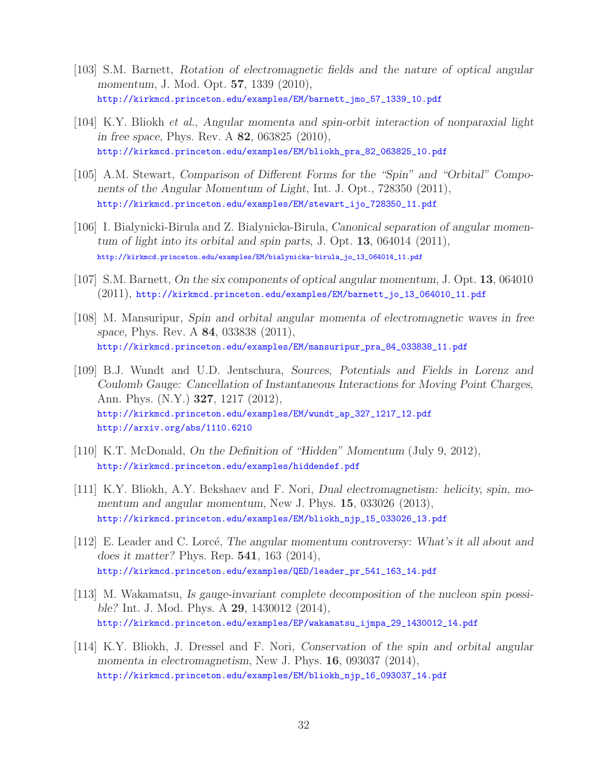- [103] S.M. Barnett, *Rotation of electromagnetic fields and the nature of optical angular momentum*, J. Mod. Opt. **57**, 1339 (2010), http://kirkmcd.princeton.edu/examples/EM/barnett\_jmo\_57\_1339\_10.pdf
- [104] K.Y. Bliokh *et al.*, *Angular momenta and spin-orbit interaction of nonparaxial light in free space*, Phys. Rev. A **82**, 063825 (2010), http://kirkmcd.princeton.edu/examples/EM/bliokh\_pra\_82\_063825\_10.pdf
- [105] A.M. Stewart, *Comparison of Different Forms for the "Spin" and "Orbital" Components of the Angular Momentum of Light*, Int. J. Opt., 728350 (2011), http://kirkmcd.princeton.edu/examples/EM/stewart\_ijo\_728350\_11.pdf
- [106] I. Bialynicki-Birula and Z. Bialynicka-Birula, *Canonical separation of angular momentum of light into its orbital and spin parts*, J. Opt. **13**, 064014 (2011), http://kirkmcd.princeton.edu/examples/EM/bialynicka-birula\_jo\_13\_064014\_11.pdf
- [107] S.M. Barnett, *On the six components of optical angular momentum*, J. Opt. **13**, 064010 (2011), http://kirkmcd.princeton.edu/examples/EM/barnett\_jo\_13\_064010\_11.pdf
- [108] M. Mansuripur, *Spin and orbital angular momenta of electromagnetic waves in free space*, Phys. Rev. A **84**, 033838 (2011), http://kirkmcd.princeton.edu/examples/EM/mansuripur\_pra\_84\_033838\_11.pdf
- [109] B.J. Wundt and U.D. Jentschura, *Sources, Potentials and Fields in Lorenz and Coulomb Gauge: Cancellation of Instantaneous Interactions for Moving Point Charges*, Ann. Phys. (N.Y.) **327**, 1217 (2012), http://kirkmcd.princeton.edu/examples/EM/wundt\_ap\_327\_1217\_12.pdf http://arxiv.org/abs/1110.6210
- [110] K.T. McDonald, *On the Definition of "Hidden" Momentum* (July 9, 2012), http://kirkmcd.princeton.edu/examples/hiddendef.pdf
- [111] K.Y. Bliokh, A.Y. Bekshaev and F. Nori, *Dual electromagnetism: helicity, spin, momentum and angular momentum*, New J. Phys. **15**, 033026 (2013), http://kirkmcd.princeton.edu/examples/EM/bliokh\_njp\_15\_033026\_13.pdf
- [112] E. Leader and C. Lorcé, *The angular momentum controversy: What's it all about and does it matter?* Phys. Rep. **541**, 163 (2014), http://kirkmcd.princeton.edu/examples/QED/leader\_pr\_541\_163\_14.pdf
- [113] M. Wakamatsu, *Is gauge-invariant complete decomposition of the nucleon spin possible?* Int. J. Mod. Phys. A **29**, 1430012 (2014), http://kirkmcd.princeton.edu/examples/EP/wakamatsu\_ijmpa\_29\_1430012\_14.pdf
- [114] K.Y. Bliokh, J. Dressel and F. Nori, *Conservation of the spin and orbital angular momenta in electromagnetism*, New J. Phys. **16**, 093037 (2014), http://kirkmcd.princeton.edu/examples/EM/bliokh\_njp\_16\_093037\_14.pdf